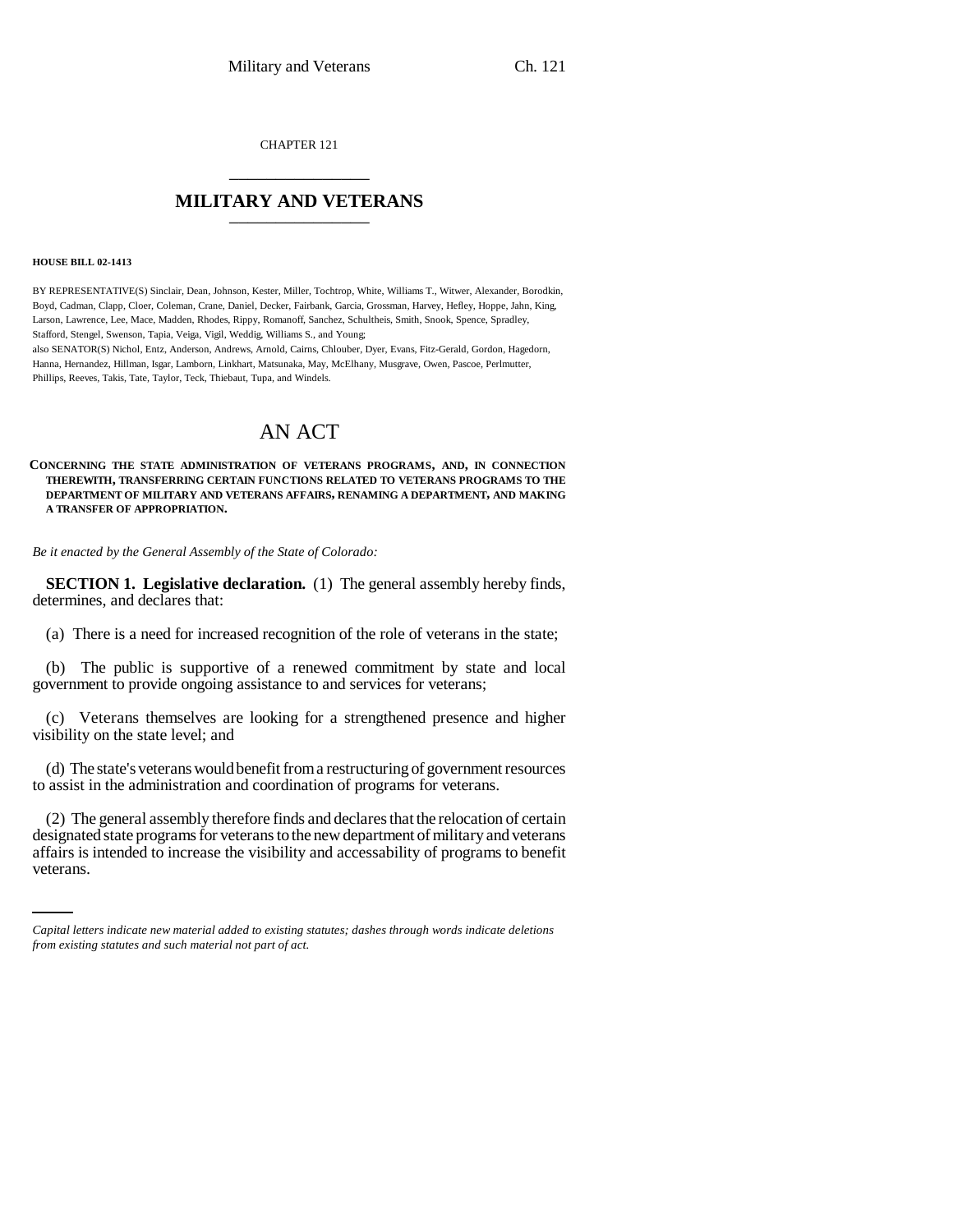CHAPTER 121 \_\_\_\_\_\_\_\_\_\_\_\_\_\_\_

# **MILITARY AND VETERANS** \_\_\_\_\_\_\_\_\_\_\_\_\_\_\_

#### **HOUSE BILL 02-1413**

BY REPRESENTATIVE(S) Sinclair, Dean, Johnson, Kester, Miller, Tochtrop, White, Williams T., Witwer, Alexander, Borodkin, Boyd, Cadman, Clapp, Cloer, Coleman, Crane, Daniel, Decker, Fairbank, Garcia, Grossman, Harvey, Hefley, Hoppe, Jahn, King, Larson, Lawrence, Lee, Mace, Madden, Rhodes, Rippy, Romanoff, Sanchez, Schultheis, Smith, Snook, Spence, Spradley, Stafford, Stengel, Swenson, Tapia, Veiga, Vigil, Weddig, Williams S., and Young; also SENATOR(S) Nichol, Entz, Anderson, Andrews, Arnold, Cairns, Chlouber, Dyer, Evans, Fitz-Gerald, Gordon, Hagedorn,

Hanna, Hernandez, Hillman, Isgar, Lamborn, Linkhart, Matsunaka, May, McElhany, Musgrave, Owen, Pascoe, Perlmutter, Phillips, Reeves, Takis, Tate, Taylor, Teck, Thiebaut, Tupa, and Windels.

# AN ACT

#### **CONCERNING THE STATE ADMINISTRATION OF VETERANS PROGRAMS, AND, IN CONNECTION THEREWITH, TRANSFERRING CERTAIN FUNCTIONS RELATED TO VETERANS PROGRAMS TO THE DEPARTMENT OF MILITARY AND VETERANS AFFAIRS, RENAMING A DEPARTMENT, AND MAKING A TRANSFER OF APPROPRIATION.**

*Be it enacted by the General Assembly of the State of Colorado:*

**SECTION 1. Legislative declaration.** (1) The general assembly hereby finds, determines, and declares that:

(a) There is a need for increased recognition of the role of veterans in the state;

(b) The public is supportive of a renewed commitment by state and local government to provide ongoing assistance to and services for veterans;

(c) Veterans themselves are looking for a strengthened presence and higher visibility on the state level; and

(d) The state's veterans would benefit from a restructuring of government resources to assist in the administration and coordination of programs for veterans.

designated state programs for veterans to the new department of military and veterans (2) The general assembly therefore finds and declares that the relocation of certain affairs is intended to increase the visibility and accessability of programs to benefit veterans.

*Capital letters indicate new material added to existing statutes; dashes through words indicate deletions from existing statutes and such material not part of act.*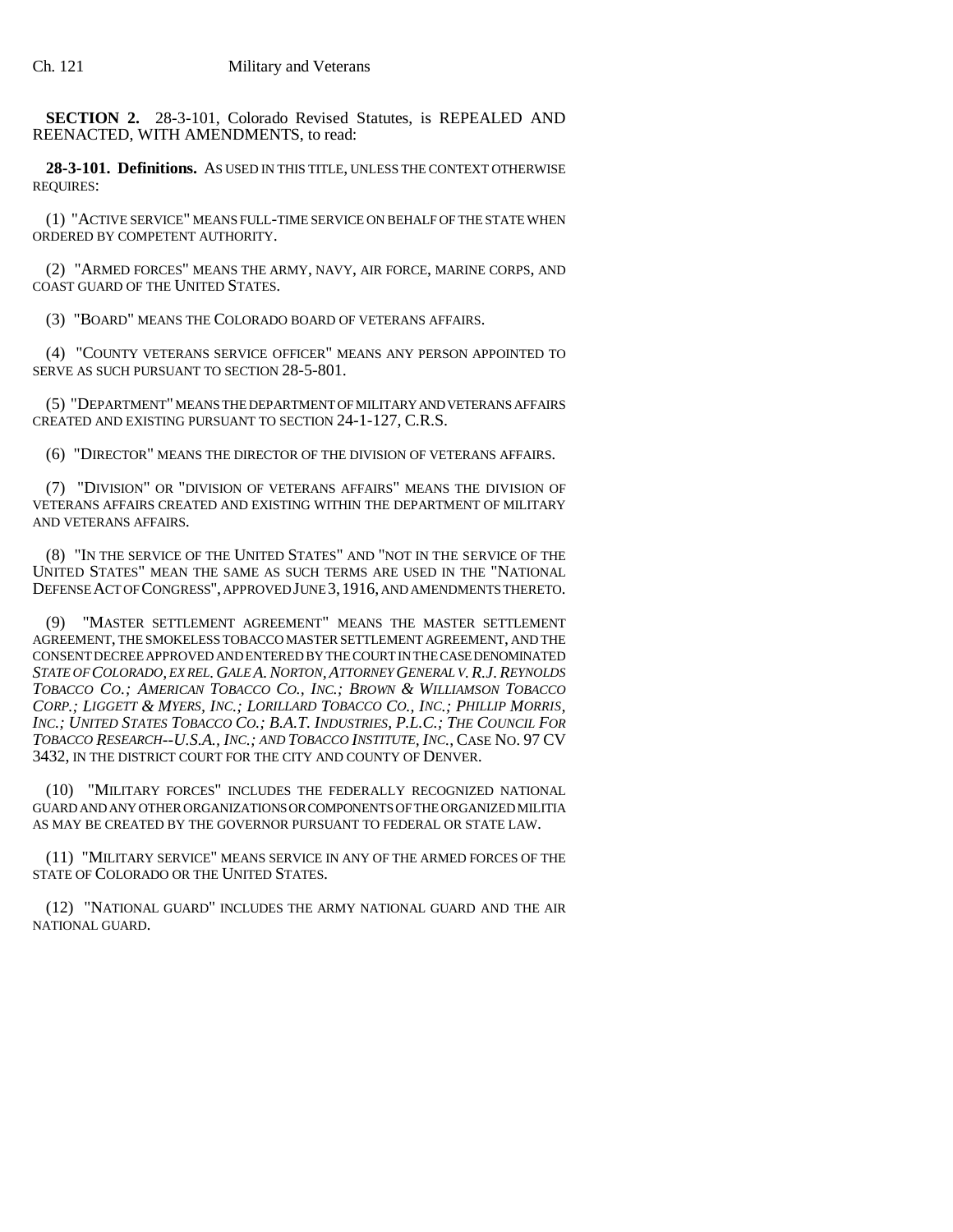**SECTION 2.** 28-3-101, Colorado Revised Statutes, is REPEALED AND REENACTED, WITH AMENDMENTS, to read:

**28-3-101. Definitions.** AS USED IN THIS TITLE, UNLESS THE CONTEXT OTHERWISE REQUIRES:

(1) "ACTIVE SERVICE" MEANS FULL-TIME SERVICE ON BEHALF OF THE STATE WHEN ORDERED BY COMPETENT AUTHORITY.

(2) "ARMED FORCES" MEANS THE ARMY, NAVY, AIR FORCE, MARINE CORPS, AND COAST GUARD OF THE UNITED STATES.

(3) "BOARD" MEANS THE COLORADO BOARD OF VETERANS AFFAIRS.

(4) "COUNTY VETERANS SERVICE OFFICER" MEANS ANY PERSON APPOINTED TO SERVE AS SUCH PURSUANT TO SECTION 28-5-801.

(5) "DEPARTMENT" MEANS THE DEPARTMENT OF MILITARY AND VETERANS AFFAIRS CREATED AND EXISTING PURSUANT TO SECTION 24-1-127, C.R.S.

(6) "DIRECTOR" MEANS THE DIRECTOR OF THE DIVISION OF VETERANS AFFAIRS.

(7) "DIVISION" OR "DIVISION OF VETERANS AFFAIRS" MEANS THE DIVISION OF VETERANS AFFAIRS CREATED AND EXISTING WITHIN THE DEPARTMENT OF MILITARY AND VETERANS AFFAIRS.

(8) "IN THE SERVICE OF THE UNITED STATES" AND "NOT IN THE SERVICE OF THE UNITED STATES" MEAN THE SAME AS SUCH TERMS ARE USED IN THE "NATIONAL DEFENSE ACT OF CONGRESS", APPROVED JUNE 3,1916, AND AMENDMENTS THERETO.

"MASTER SETTLEMENT AGREEMENT" MEANS THE MASTER SETTLEMENT AGREEMENT, THE SMOKELESS TOBACCO MASTER SETTLEMENT AGREEMENT, AND THE CONSENT DECREE APPROVED AND ENTERED BY THE COURT IN THE CASE DENOMINATED *STATE OF COLORADO, EX REL.GALE A.NORTON,ATTORNEY GENERAL V.R.J.REYNOLDS TOBACCO CO.; AMERICAN TOBACCO CO., INC.; BROWN & WILLIAMSON TOBACCO CORP.; LIGGETT & MYERS, INC.; LORILLARD TOBACCO CO., INC.; PHILLIP MORRIS, INC.; UNITED STATES TOBACCO CO.; B.A.T. INDUSTRIES, P.L.C.; THE COUNCIL FOR TOBACCO RESEARCH--U.S.A., INC.; AND TOBACCO INSTITUTE, INC.*, CASE NO. 97 CV 3432, IN THE DISTRICT COURT FOR THE CITY AND COUNTY OF DENVER.

(10) "MILITARY FORCES" INCLUDES THE FEDERALLY RECOGNIZED NATIONAL GUARD AND ANY OTHER ORGANIZATIONS OR COMPONENTS OF THE ORGANIZED MILITIA AS MAY BE CREATED BY THE GOVERNOR PURSUANT TO FEDERAL OR STATE LAW.

(11) "MILITARY SERVICE" MEANS SERVICE IN ANY OF THE ARMED FORCES OF THE STATE OF COLORADO OR THE UNITED STATES.

(12) "NATIONAL GUARD" INCLUDES THE ARMY NATIONAL GUARD AND THE AIR NATIONAL GUARD.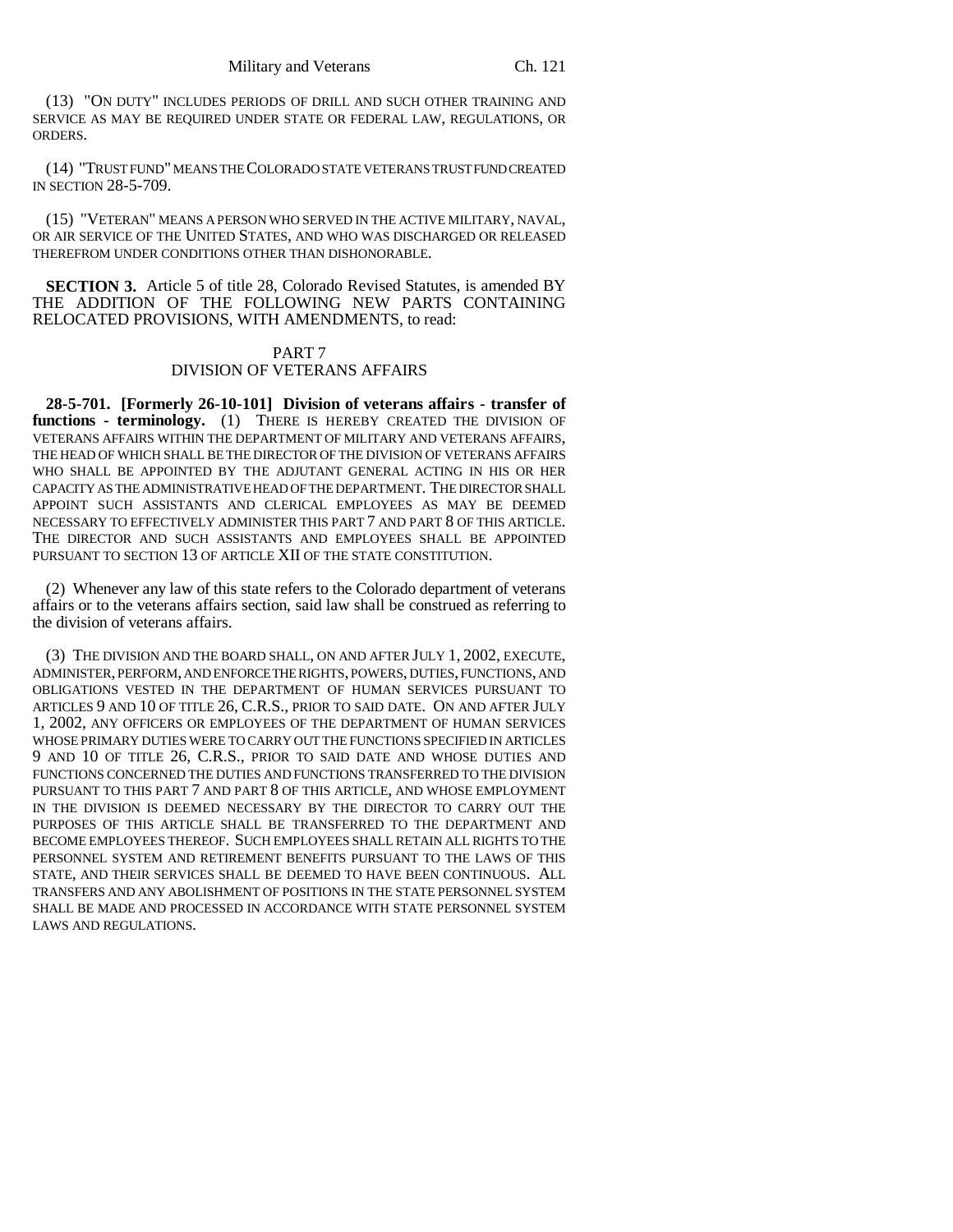(13) "ON DUTY" INCLUDES PERIODS OF DRILL AND SUCH OTHER TRAINING AND SERVICE AS MAY BE REQUIRED UNDER STATE OR FEDERAL LAW, REGULATIONS, OR ORDERS.

(14) "TRUST FUND" MEANS THE COLORADO STATE VETERANS TRUST FUND CREATED IN SECTION 28-5-709.

(15) "VETERAN" MEANS A PERSON WHO SERVED IN THE ACTIVE MILITARY, NAVAL, OR AIR SERVICE OF THE UNITED STATES, AND WHO WAS DISCHARGED OR RELEASED THEREFROM UNDER CONDITIONS OTHER THAN DISHONORABLE.

**SECTION 3.** Article 5 of title 28. Colorado Revised Statutes, is amended BY THE ADDITION OF THE FOLLOWING NEW PARTS CONTAINING RELOCATED PROVISIONS, WITH AMENDMENTS, to read:

# PART 7 DIVISION OF VETERANS AFFAIRS

**28-5-701. [Formerly 26-10-101] Division of veterans affairs - transfer of** functions - terminology. (1) THERE IS HEREBY CREATED THE DIVISION OF VETERANS AFFAIRS WITHIN THE DEPARTMENT OF MILITARY AND VETERANS AFFAIRS, THE HEAD OF WHICH SHALL BE THE DIRECTOR OF THE DIVISION OF VETERANS AFFAIRS WHO SHALL BE APPOINTED BY THE ADJUTANT GENERAL ACTING IN HIS OR HER CAPACITY AS THE ADMINISTRATIVE HEAD OF THE DEPARTMENT. THE DIRECTOR SHALL APPOINT SUCH ASSISTANTS AND CLERICAL EMPLOYEES AS MAY BE DEEMED NECESSARY TO EFFECTIVELY ADMINISTER THIS PART 7 AND PART 8 OF THIS ARTICLE. THE DIRECTOR AND SUCH ASSISTANTS AND EMPLOYEES SHALL BE APPOINTED PURSUANT TO SECTION 13 OF ARTICLE XII OF THE STATE CONSTITUTION.

(2) Whenever any law of this state refers to the Colorado department of veterans affairs or to the veterans affairs section, said law shall be construed as referring to the division of veterans affairs.

(3) THE DIVISION AND THE BOARD SHALL, ON AND AFTER JULY 1, 2002, EXECUTE, ADMINISTER, PERFORM, AND ENFORCE THE RIGHTS, POWERS, DUTIES, FUNCTIONS, AND OBLIGATIONS VESTED IN THE DEPARTMENT OF HUMAN SERVICES PURSUANT TO ARTICLES 9 AND 10 OF TITLE 26, C.R.S., PRIOR TO SAID DATE. ON AND AFTER JULY 1, 2002, ANY OFFICERS OR EMPLOYEES OF THE DEPARTMENT OF HUMAN SERVICES WHOSE PRIMARY DUTIES WERE TO CARRY OUT THE FUNCTIONS SPECIFIED IN ARTICLES 9 AND 10 OF TITLE 26, C.R.S., PRIOR TO SAID DATE AND WHOSE DUTIES AND FUNCTIONS CONCERNED THE DUTIES AND FUNCTIONS TRANSFERRED TO THE DIVISION PURSUANT TO THIS PART 7 AND PART 8 OF THIS ARTICLE, AND WHOSE EMPLOYMENT IN THE DIVISION IS DEEMED NECESSARY BY THE DIRECTOR TO CARRY OUT THE PURPOSES OF THIS ARTICLE SHALL BE TRANSFERRED TO THE DEPARTMENT AND BECOME EMPLOYEES THEREOF. SUCH EMPLOYEES SHALL RETAIN ALL RIGHTS TO THE PERSONNEL SYSTEM AND RETIREMENT BENEFITS PURSUANT TO THE LAWS OF THIS STATE, AND THEIR SERVICES SHALL BE DEEMED TO HAVE BEEN CONTINUOUS. ALL TRANSFERS AND ANY ABOLISHMENT OF POSITIONS IN THE STATE PERSONNEL SYSTEM SHALL BE MADE AND PROCESSED IN ACCORDANCE WITH STATE PERSONNEL SYSTEM LAWS AND REGULATIONS.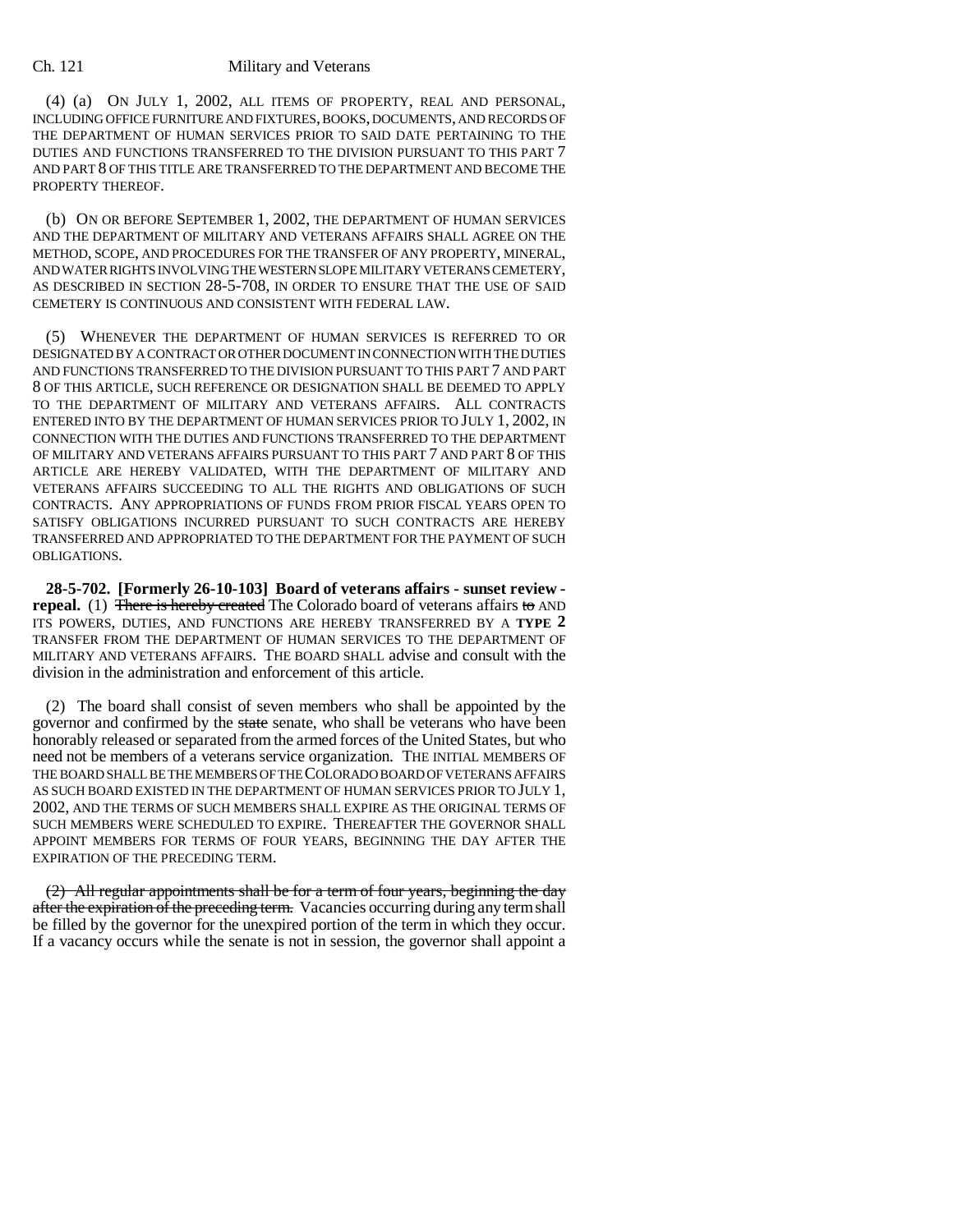(4) (a) ON JULY 1, 2002, ALL ITEMS OF PROPERTY, REAL AND PERSONAL, INCLUDING OFFICE FURNITURE AND FIXTURES, BOOKS, DOCUMENTS, AND RECORDS OF THE DEPARTMENT OF HUMAN SERVICES PRIOR TO SAID DATE PERTAINING TO THE DUTIES AND FUNCTIONS TRANSFERRED TO THE DIVISION PURSUANT TO THIS PART 7 AND PART 8 OF THIS TITLE ARE TRANSFERRED TO THE DEPARTMENT AND BECOME THE PROPERTY THEREOF.

(b) ON OR BEFORE SEPTEMBER 1, 2002, THE DEPARTMENT OF HUMAN SERVICES AND THE DEPARTMENT OF MILITARY AND VETERANS AFFAIRS SHALL AGREE ON THE METHOD, SCOPE, AND PROCEDURES FOR THE TRANSFER OF ANY PROPERTY, MINERAL, AND WATER RIGHTS INVOLVING THE WESTERN SLOPE MILITARY VETERANS CEMETERY, AS DESCRIBED IN SECTION 28-5-708, IN ORDER TO ENSURE THAT THE USE OF SAID CEMETERY IS CONTINUOUS AND CONSISTENT WITH FEDERAL LAW.

(5) WHENEVER THE DEPARTMENT OF HUMAN SERVICES IS REFERRED TO OR DESIGNATED BY A CONTRACT OR OTHER DOCUMENT IN CONNECTION WITH THE DUTIES AND FUNCTIONS TRANSFERRED TO THE DIVISION PURSUANT TO THIS PART 7 AND PART 8 OF THIS ARTICLE, SUCH REFERENCE OR DESIGNATION SHALL BE DEEMED TO APPLY TO THE DEPARTMENT OF MILITARY AND VETERANS AFFAIRS. ALL CONTRACTS ENTERED INTO BY THE DEPARTMENT OF HUMAN SERVICES PRIOR TO JULY 1, 2002, IN CONNECTION WITH THE DUTIES AND FUNCTIONS TRANSFERRED TO THE DEPARTMENT OF MILITARY AND VETERANS AFFAIRS PURSUANT TO THIS PART 7 AND PART 8 OF THIS ARTICLE ARE HEREBY VALIDATED, WITH THE DEPARTMENT OF MILITARY AND VETERANS AFFAIRS SUCCEEDING TO ALL THE RIGHTS AND OBLIGATIONS OF SUCH CONTRACTS. ANY APPROPRIATIONS OF FUNDS FROM PRIOR FISCAL YEARS OPEN TO SATISFY OBLIGATIONS INCURRED PURSUANT TO SUCH CONTRACTS ARE HEREBY TRANSFERRED AND APPROPRIATED TO THE DEPARTMENT FOR THE PAYMENT OF SUCH OBLIGATIONS.

**28-5-702. [Formerly 26-10-103] Board of veterans affairs - sunset review repeal.** (1) There is hereby created The Colorado board of veterans affairs to AND ITS POWERS, DUTIES, AND FUNCTIONS ARE HEREBY TRANSFERRED BY A **TYPE 2** TRANSFER FROM THE DEPARTMENT OF HUMAN SERVICES TO THE DEPARTMENT OF MILITARY AND VETERANS AFFAIRS. THE BOARD SHALL advise and consult with the division in the administration and enforcement of this article.

(2) The board shall consist of seven members who shall be appointed by the governor and confirmed by the state senate, who shall be veterans who have been honorably released or separated from the armed forces of the United States, but who need not be members of a veterans service organization. THE INITIAL MEMBERS OF THE BOARD SHALL BE THE MEMBERS OF THE COLORADO BOARD OF VETERANS AFFAIRS AS SUCH BOARD EXISTED IN THE DEPARTMENT OF HUMAN SERVICES PRIOR TO JULY 1, 2002, AND THE TERMS OF SUCH MEMBERS SHALL EXPIRE AS THE ORIGINAL TERMS OF SUCH MEMBERS WERE SCHEDULED TO EXPIRE. THEREAFTER THE GOVERNOR SHALL APPOINT MEMBERS FOR TERMS OF FOUR YEARS, BEGINNING THE DAY AFTER THE EXPIRATION OF THE PRECEDING TERM.

(2) All regular appointments shall be for a term of four years, beginning the day after the expiration of the preceding term. Vacancies occurring during any term shall be filled by the governor for the unexpired portion of the term in which they occur. If a vacancy occurs while the senate is not in session, the governor shall appoint a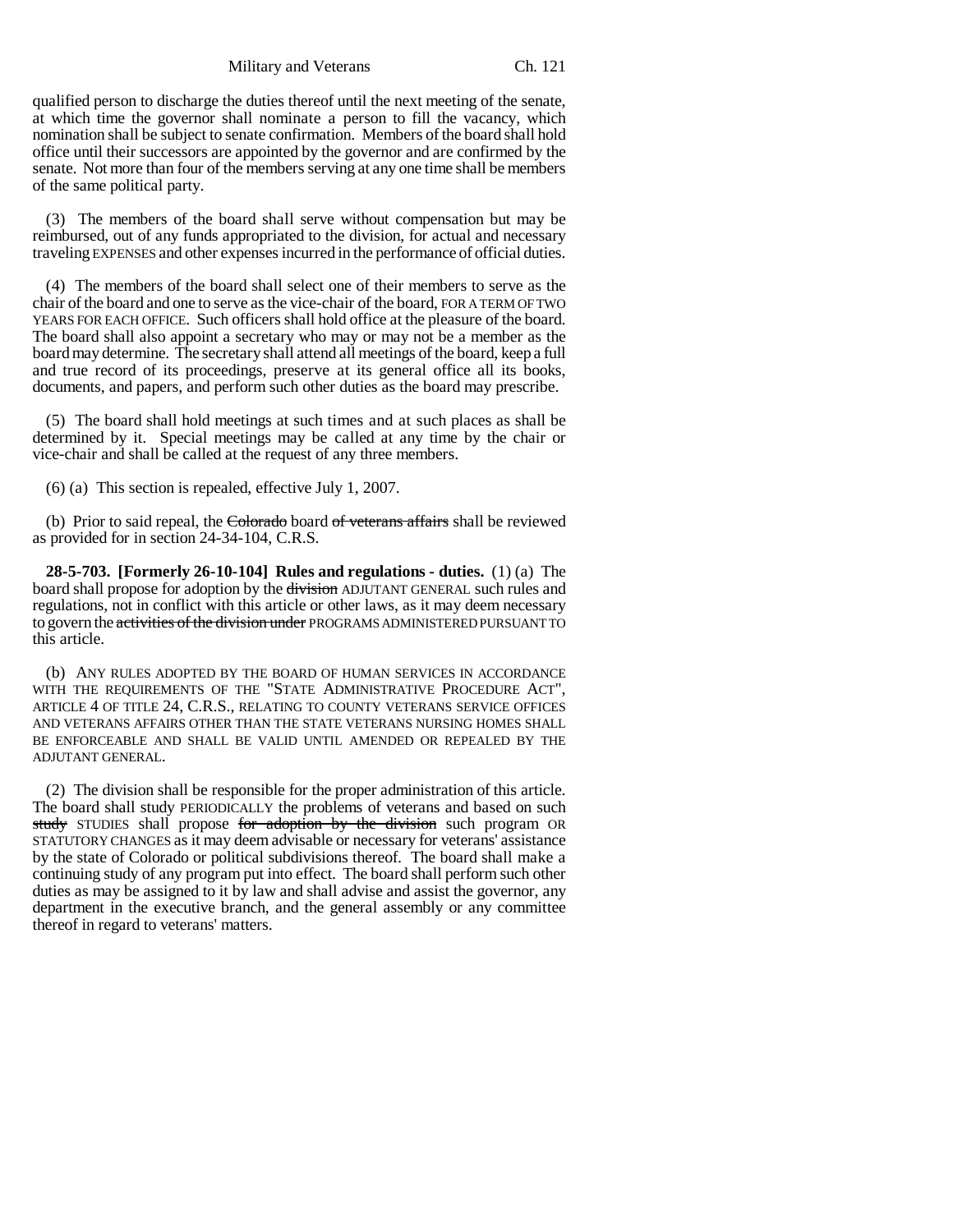Military and Veterans Ch. 121

qualified person to discharge the duties thereof until the next meeting of the senate, at which time the governor shall nominate a person to fill the vacancy, which nomination shall be subject to senate confirmation. Members of the board shall hold office until their successors are appointed by the governor and are confirmed by the senate. Not more than four of the members serving at any one time shall be members of the same political party.

(3) The members of the board shall serve without compensation but may be reimbursed, out of any funds appropriated to the division, for actual and necessary traveling EXPENSES and other expenses incurred in the performance of official duties.

(4) The members of the board shall select one of their members to serve as the chair of the board and one to serve as the vice-chair of the board, FOR A TERM OF TWO YEARS FOR EACH OFFICE. Such officers shall hold office at the pleasure of the board. The board shall also appoint a secretary who may or may not be a member as the board may determine. The secretary shall attend all meetings of the board, keep a full and true record of its proceedings, preserve at its general office all its books, documents, and papers, and perform such other duties as the board may prescribe.

(5) The board shall hold meetings at such times and at such places as shall be determined by it. Special meetings may be called at any time by the chair or vice-chair and shall be called at the request of any three members.

(6) (a) This section is repealed, effective July 1, 2007.

(b) Prior to said repeal, the Colorado board of veterans affairs shall be reviewed as provided for in section 24-34-104, C.R.S.

**28-5-703. [Formerly 26-10-104] Rules and regulations - duties.** (1) (a) The board shall propose for adoption by the division ADJUTANT GENERAL such rules and regulations, not in conflict with this article or other laws, as it may deem necessary to govern the activities of the division under PROGRAMS ADMINISTERED PURSUANT TO this article.

(b) ANY RULES ADOPTED BY THE BOARD OF HUMAN SERVICES IN ACCORDANCE WITH THE REQUIREMENTS OF THE "STATE ADMINISTRATIVE PROCEDURE ACT", ARTICLE 4 OF TITLE 24, C.R.S., RELATING TO COUNTY VETERANS SERVICE OFFICES AND VETERANS AFFAIRS OTHER THAN THE STATE VETERANS NURSING HOMES SHALL BE ENFORCEABLE AND SHALL BE VALID UNTIL AMENDED OR REPEALED BY THE ADJUTANT GENERAL.

(2) The division shall be responsible for the proper administration of this article. The board shall study PERIODICALLY the problems of veterans and based on such study STUDIES shall propose for adoption by the division such program OR STATUTORY CHANGES as it may deem advisable or necessary for veterans' assistance by the state of Colorado or political subdivisions thereof. The board shall make a continuing study of any program put into effect. The board shall perform such other duties as may be assigned to it by law and shall advise and assist the governor, any department in the executive branch, and the general assembly or any committee thereof in regard to veterans' matters.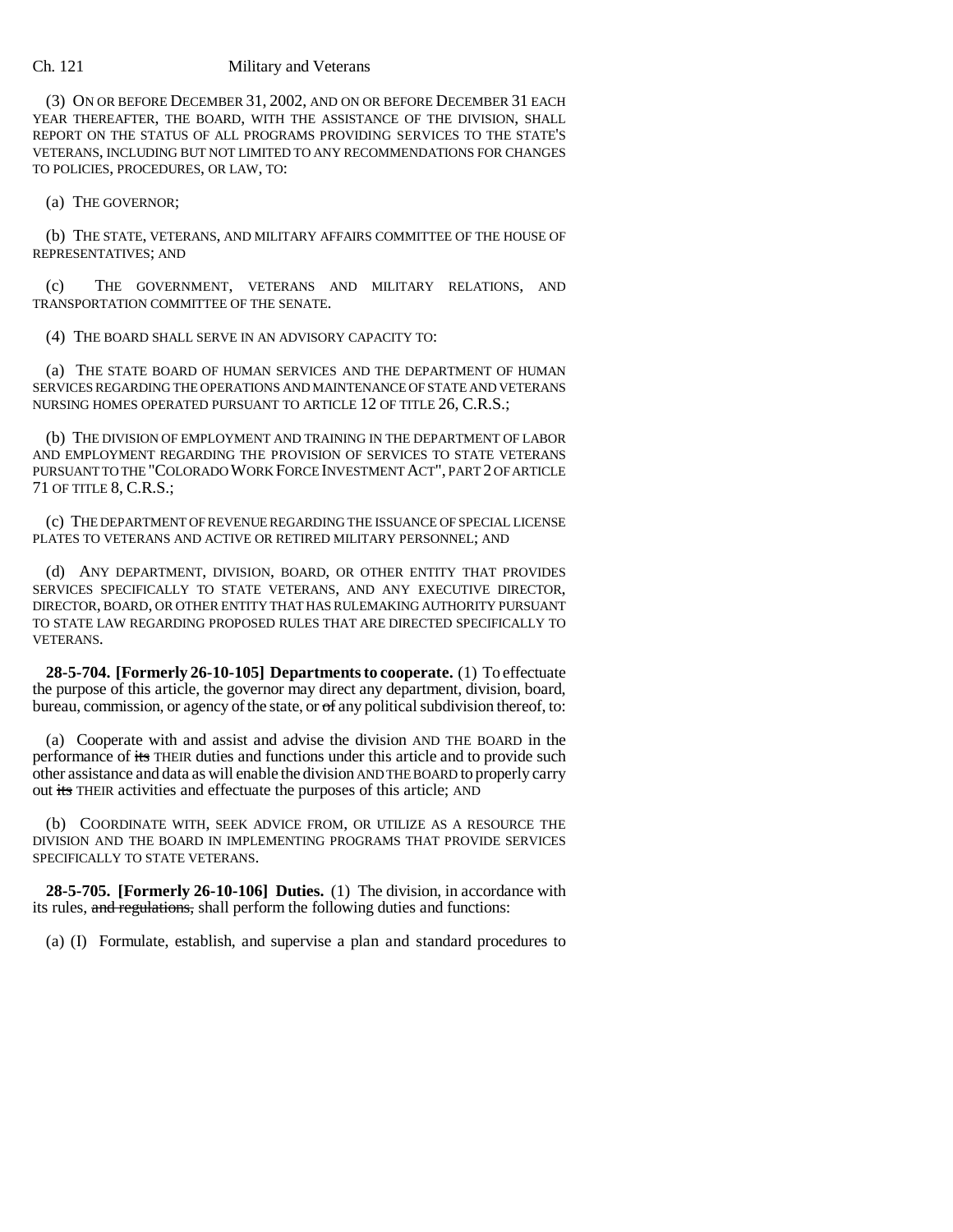(3) ON OR BEFORE DECEMBER 31, 2002, AND ON OR BEFORE DECEMBER 31 EACH YEAR THEREAFTER, THE BOARD, WITH THE ASSISTANCE OF THE DIVISION, SHALL REPORT ON THE STATUS OF ALL PROGRAMS PROVIDING SERVICES TO THE STATE'S VETERANS, INCLUDING BUT NOT LIMITED TO ANY RECOMMENDATIONS FOR CHANGES TO POLICIES, PROCEDURES, OR LAW, TO:

(a) THE GOVERNOR;

(b) THE STATE, VETERANS, AND MILITARY AFFAIRS COMMITTEE OF THE HOUSE OF REPRESENTATIVES; AND

(c) THE GOVERNMENT, VETERANS AND MILITARY RELATIONS, AND TRANSPORTATION COMMITTEE OF THE SENATE.

(4) THE BOARD SHALL SERVE IN AN ADVISORY CAPACITY TO:

(a) THE STATE BOARD OF HUMAN SERVICES AND THE DEPARTMENT OF HUMAN SERVICES REGARDING THE OPERATIONS AND MAINTENANCE OF STATE AND VETERANS NURSING HOMES OPERATED PURSUANT TO ARTICLE 12 OF TITLE 26, C.R.S.;

(b) THE DIVISION OF EMPLOYMENT AND TRAINING IN THE DEPARTMENT OF LABOR AND EMPLOYMENT REGARDING THE PROVISION OF SERVICES TO STATE VETERANS PURSUANT TO THE "COLORADO WORK FORCE INVESTMENT ACT", PART 2 OF ARTICLE 71 OF TITLE 8, C.R.S.;

(c) THE DEPARTMENT OF REVENUE REGARDING THE ISSUANCE OF SPECIAL LICENSE PLATES TO VETERANS AND ACTIVE OR RETIRED MILITARY PERSONNEL; AND

(d) ANY DEPARTMENT, DIVISION, BOARD, OR OTHER ENTITY THAT PROVIDES SERVICES SPECIFICALLY TO STATE VETERANS, AND ANY EXECUTIVE DIRECTOR, DIRECTOR, BOARD, OR OTHER ENTITY THAT HAS RULEMAKING AUTHORITY PURSUANT TO STATE LAW REGARDING PROPOSED RULES THAT ARE DIRECTED SPECIFICALLY TO VETERANS.

**28-5-704. [Formerly 26-10-105] Departments to cooperate.** (1) To effectuate the purpose of this article, the governor may direct any department, division, board, bureau, commission, or agency of the state, or  $\sigma f$  any political subdivision thereof, to:

(a) Cooperate with and assist and advise the division AND THE BOARD in the performance of its THEIR duties and functions under this article and to provide such other assistance and data as will enable the division AND THE BOARD to properly carry out its THEIR activities and effectuate the purposes of this article; AND

(b) COORDINATE WITH, SEEK ADVICE FROM, OR UTILIZE AS A RESOURCE THE DIVISION AND THE BOARD IN IMPLEMENTING PROGRAMS THAT PROVIDE SERVICES SPECIFICALLY TO STATE VETERANS.

**28-5-705. [Formerly 26-10-106] Duties.** (1) The division, in accordance with its rules, and regulations, shall perform the following duties and functions:

(a) (I) Formulate, establish, and supervise a plan and standard procedures to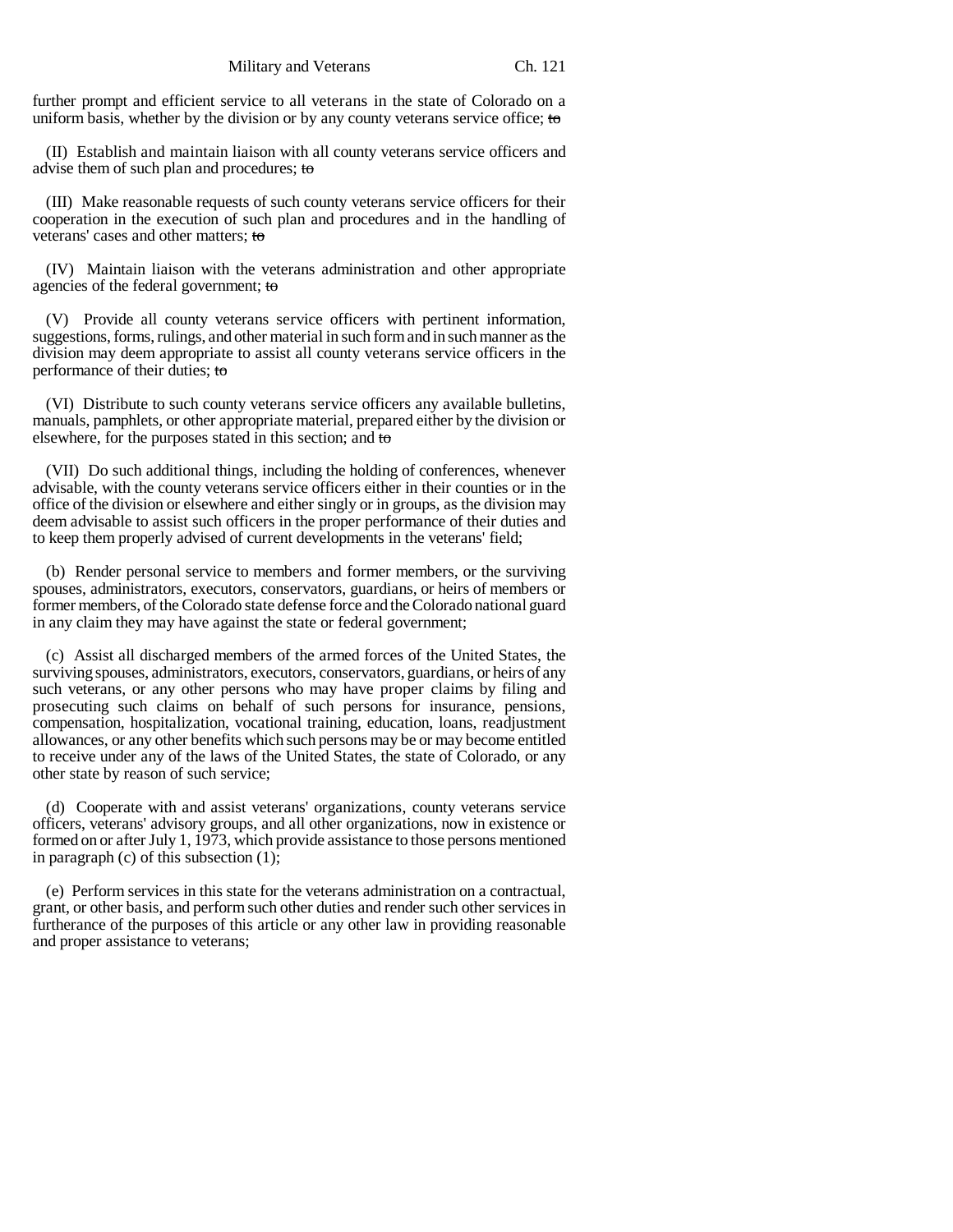further prompt and efficient service to all veterans in the state of Colorado on a uniform basis, whether by the division or by any county veterans service office; to

(II) Establish and maintain liaison with all county veterans service officers and advise them of such plan and procedures; to

(III) Make reasonable requests of such county veterans service officers for their cooperation in the execution of such plan and procedures and in the handling of veterans' cases and other matters; to

(IV) Maintain liaison with the veterans administration and other appropriate agencies of the federal government; to

(V) Provide all county veterans service officers with pertinent information, suggestions, forms, rulings, and other material in such form and in such manner as the division may deem appropriate to assist all county veterans service officers in the performance of their duties; to

(VI) Distribute to such county veterans service officers any available bulletins, manuals, pamphlets, or other appropriate material, prepared either by the division or elsewhere, for the purposes stated in this section; and to

(VII) Do such additional things, including the holding of conferences, whenever advisable, with the county veterans service officers either in their counties or in the office of the division or elsewhere and either singly or in groups, as the division may deem advisable to assist such officers in the proper performance of their duties and to keep them properly advised of current developments in the veterans' field;

(b) Render personal service to members and former members, or the surviving spouses, administrators, executors, conservators, guardians, or heirs of members or former members, of the Colorado state defense force and the Colorado national guard in any claim they may have against the state or federal government;

(c) Assist all discharged members of the armed forces of the United States, the surviving spouses, administrators, executors, conservators, guardians, or heirs of any such veterans, or any other persons who may have proper claims by filing and prosecuting such claims on behalf of such persons for insurance, pensions, compensation, hospitalization, vocational training, education, loans, readjustment allowances, or any other benefits which such persons may be or may become entitled to receive under any of the laws of the United States, the state of Colorado, or any other state by reason of such service;

(d) Cooperate with and assist veterans' organizations, county veterans service officers, veterans' advisory groups, and all other organizations, now in existence or formed on or after July 1, 1973, which provide assistance to those persons mentioned in paragraph (c) of this subsection (1);

(e) Perform services in this state for the veterans administration on a contractual, grant, or other basis, and perform such other duties and render such other services in furtherance of the purposes of this article or any other law in providing reasonable and proper assistance to veterans;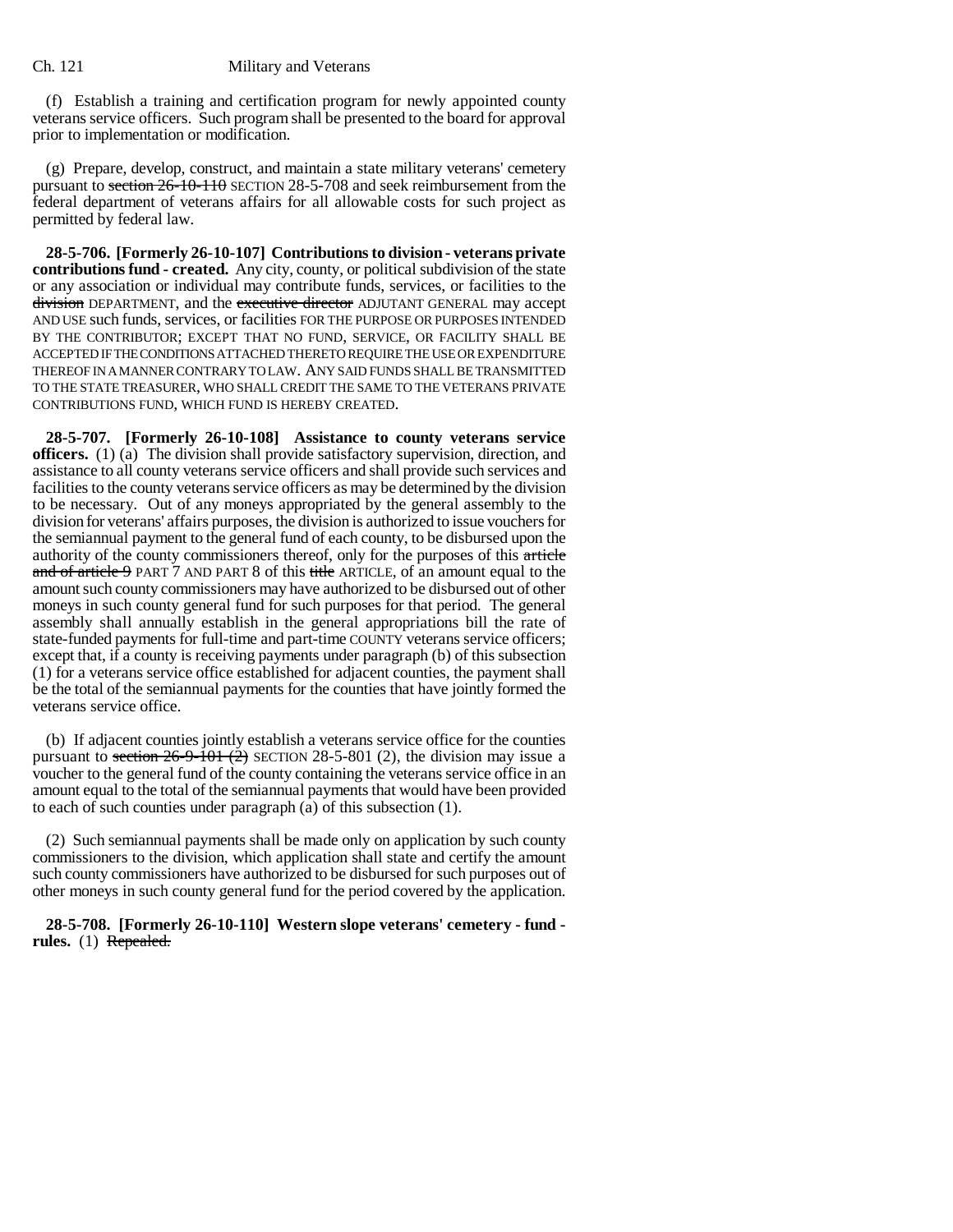(f) Establish a training and certification program for newly appointed county veterans service officers. Such program shall be presented to the board for approval prior to implementation or modification.

(g) Prepare, develop, construct, and maintain a state military veterans' cemetery pursuant to section 26-10-110 SECTION 28-5-708 and seek reimbursement from the federal department of veterans affairs for all allowable costs for such project as permitted by federal law.

**28-5-706. [Formerly 26-10-107] Contributions to division - veterans private contributions fund - created.** Any city, county, or political subdivision of the state or any association or individual may contribute funds, services, or facilities to the division DEPARTMENT, and the executive director ADJUTANT GENERAL may accept AND USE such funds, services, or facilities FOR THE PURPOSE OR PURPOSES INTENDED BY THE CONTRIBUTOR; EXCEPT THAT NO FUND, SERVICE, OR FACILITY SHALL BE ACCEPTED IF THE CONDITIONS ATTACHED THERETO REQUIRE THE USE OR EXPENDITURE THEREOF IN A MANNER CONTRARY TO LAW. ANY SAID FUNDS SHALL BE TRANSMITTED TO THE STATE TREASURER, WHO SHALL CREDIT THE SAME TO THE VETERANS PRIVATE CONTRIBUTIONS FUND, WHICH FUND IS HEREBY CREATED.

**28-5-707. [Formerly 26-10-108] Assistance to county veterans service officers.** (1) (a) The division shall provide satisfactory supervision, direction, and assistance to all county veterans service officers and shall provide such services and facilities to the county veterans service officers as may be determined by the division to be necessary. Out of any moneys appropriated by the general assembly to the division for veterans' affairs purposes, the division is authorized to issue vouchers for the semiannual payment to the general fund of each county, to be disbursed upon the authority of the county commissioners thereof, only for the purposes of this article and of article 9 PART 7 AND PART 8 of this title ARTICLE, of an amount equal to the amount such county commissioners may have authorized to be disbursed out of other moneys in such county general fund for such purposes for that period. The general assembly shall annually establish in the general appropriations bill the rate of state-funded payments for full-time and part-time COUNTY veterans service officers; except that, if a county is receiving payments under paragraph (b) of this subsection (1) for a veterans service office established for adjacent counties, the payment shall be the total of the semiannual payments for the counties that have jointly formed the veterans service office.

(b) If adjacent counties jointly establish a veterans service office for the counties pursuant to section  $26-9-101$  (2) SECTION 28-5-801 (2), the division may issue a voucher to the general fund of the county containing the veterans service office in an amount equal to the total of the semiannual payments that would have been provided to each of such counties under paragraph (a) of this subsection (1).

(2) Such semiannual payments shall be made only on application by such county commissioners to the division, which application shall state and certify the amount such county commissioners have authorized to be disbursed for such purposes out of other moneys in such county general fund for the period covered by the application.

**28-5-708. [Formerly 26-10-110] Western slope veterans' cemetery - fund rules.** (1) Repealed.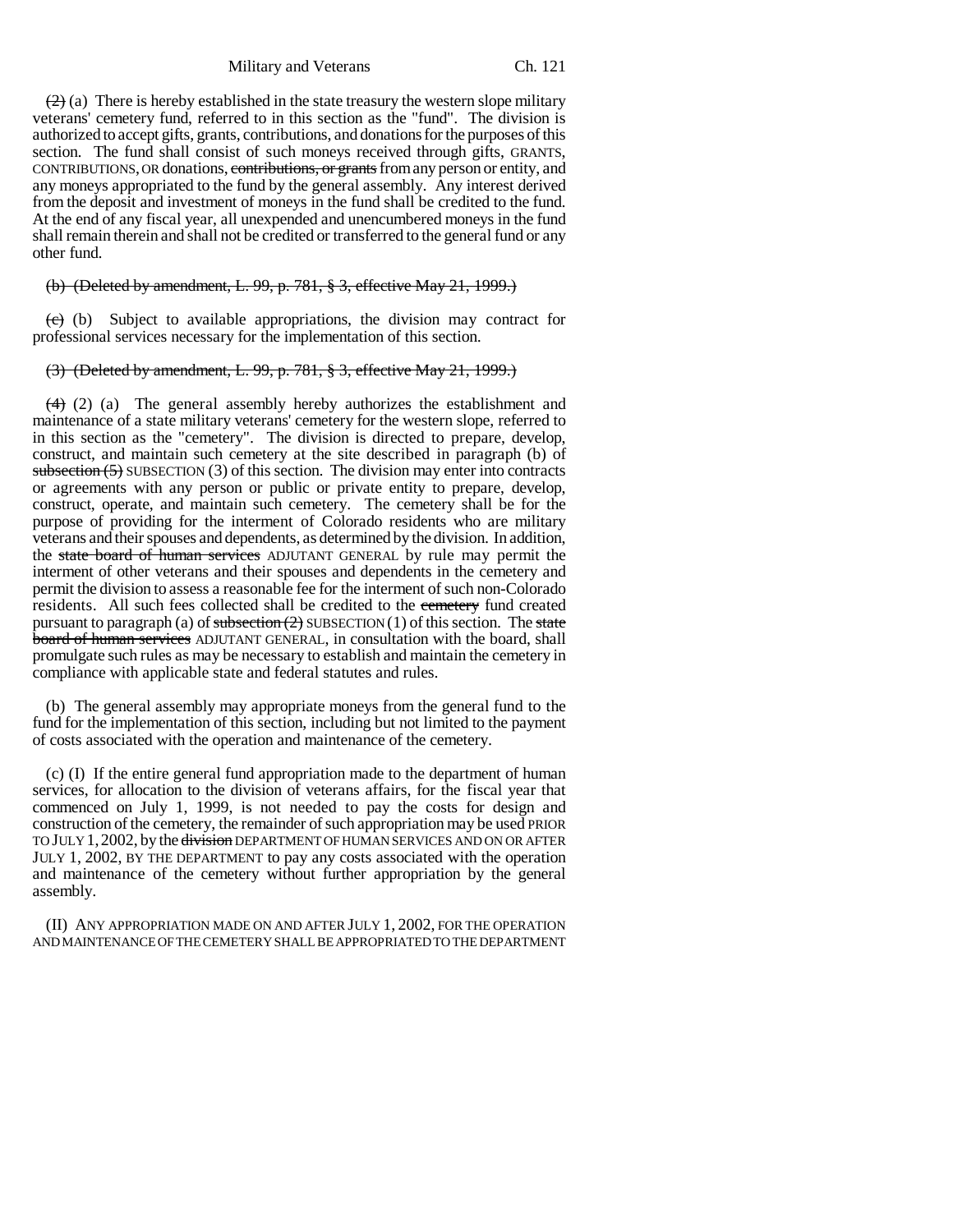Military and Veterans Ch. 121

 $(2)$  (a) There is hereby established in the state treasury the western slope military veterans' cemetery fund, referred to in this section as the "fund". The division is authorized to accept gifts, grants, contributions, and donations for the purposes of this section. The fund shall consist of such moneys received through gifts, GRANTS, CONTRIBUTIONS, OR donations, contributions, or grants from any person or entity, and any moneys appropriated to the fund by the general assembly. Any interest derived from the deposit and investment of moneys in the fund shall be credited to the fund. At the end of any fiscal year, all unexpended and unencumbered moneys in the fund shall remain therein and shall not be credited or transferred to the general fund or any other fund.

# (b) (Deleted by amendment, L. 99, p. 781, § 3, effective May 21, 1999.)

 $(e)$  (b) Subject to available appropriations, the division may contract for professional services necessary for the implementation of this section.

# (3) (Deleted by amendment, L. 99, p. 781, § 3, effective May 21, 1999.)

 $(4)$  (2) (a) The general assembly hereby authorizes the establishment and maintenance of a state military veterans' cemetery for the western slope, referred to in this section as the "cemetery". The division is directed to prepare, develop, construct, and maintain such cemetery at the site described in paragraph (b) of subsection  $(5)$  SUBSECTION  $(3)$  of this section. The division may enter into contracts or agreements with any person or public or private entity to prepare, develop, construct, operate, and maintain such cemetery. The cemetery shall be for the purpose of providing for the interment of Colorado residents who are military veterans and their spouses and dependents, as determined by the division. In addition, the state board of human services ADJUTANT GENERAL by rule may permit the interment of other veterans and their spouses and dependents in the cemetery and permit the division to assess a reasonable fee for the interment of such non-Colorado residents. All such fees collected shall be credited to the cemetery fund created pursuant to paragraph (a) of subsection  $(2)$  SUBSECTION (1) of this section. The state board of human services ADJUTANT GENERAL, in consultation with the board, shall promulgate such rules as may be necessary to establish and maintain the cemetery in compliance with applicable state and federal statutes and rules.

(b) The general assembly may appropriate moneys from the general fund to the fund for the implementation of this section, including but not limited to the payment of costs associated with the operation and maintenance of the cemetery.

(c) (I) If the entire general fund appropriation made to the department of human services, for allocation to the division of veterans affairs, for the fiscal year that commenced on July 1, 1999, is not needed to pay the costs for design and construction of the cemetery, the remainder of such appropriation may be used PRIOR TO JULY 1, 2002, by the <del>division</del> DEPARTMENT OF HUMAN SERVICES AND ON OR AFTER JULY 1, 2002, BY THE DEPARTMENT to pay any costs associated with the operation and maintenance of the cemetery without further appropriation by the general assembly.

(II) ANY APPROPRIATION MADE ON AND AFTER JULY 1, 2002, FOR THE OPERATION AND MAINTENANCE OF THE CEMETERY SHALL BE APPROPRIATED TO THE DEPARTMENT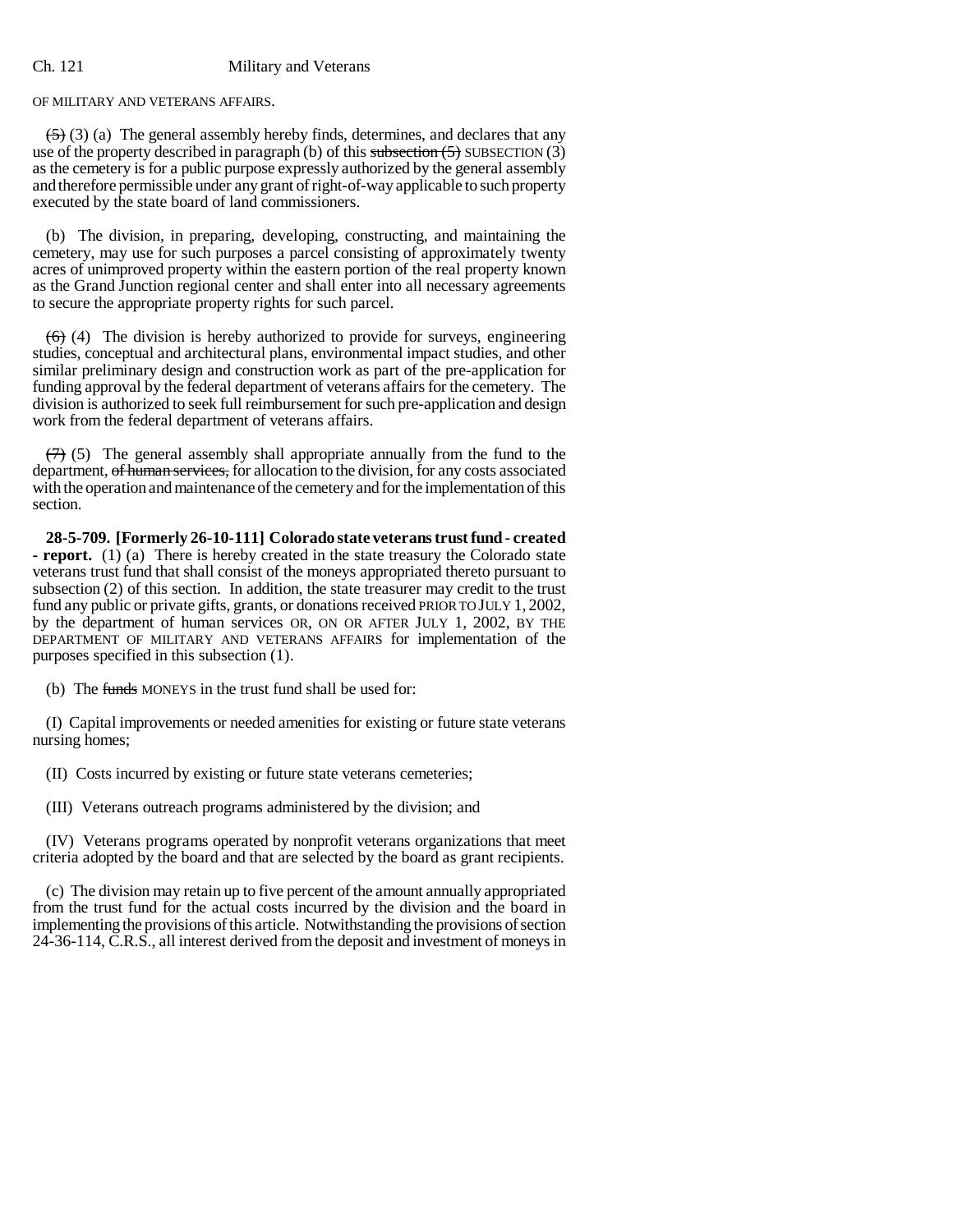OF MILITARY AND VETERANS AFFAIRS.

 $(5)$  (3) (a) The general assembly hereby finds, determines, and declares that any use of the property described in paragraph (b) of this subsection  $(5)$  SUBSECTION  $(3)$ as the cemetery is for a public purpose expressly authorized by the general assembly and therefore permissible under any grant of right-of-way applicable to such property executed by the state board of land commissioners.

(b) The division, in preparing, developing, constructing, and maintaining the cemetery, may use for such purposes a parcel consisting of approximately twenty acres of unimproved property within the eastern portion of the real property known as the Grand Junction regional center and shall enter into all necessary agreements to secure the appropriate property rights for such parcel.

 $(6)$  (4) The division is hereby authorized to provide for surveys, engineering studies, conceptual and architectural plans, environmental impact studies, and other similar preliminary design and construction work as part of the pre-application for funding approval by the federal department of veterans affairs for the cemetery. The division is authorized to seek full reimbursement for such pre-application and design work from the federal department of veterans affairs.

 $(7)$  (5) The general assembly shall appropriate annually from the fund to the department, of human services, for allocation to the division, for any costs associated with the operation and maintenance of the cemetery and for the implementation of this section.

**28-5-709. [Formerly 26-10-111] Colorado state veterans trust fund - created - report.** (1) (a) There is hereby created in the state treasury the Colorado state veterans trust fund that shall consist of the moneys appropriated thereto pursuant to subsection (2) of this section. In addition, the state treasurer may credit to the trust fund any public or private gifts, grants, or donations received PRIOR TO JULY 1, 2002, by the department of human services OR, ON OR AFTER JULY 1, 2002, BY THE DEPARTMENT OF MILITARY AND VETERANS AFFAIRS for implementation of the purposes specified in this subsection (1).

(b) The funds MONEYS in the trust fund shall be used for:

(I) Capital improvements or needed amenities for existing or future state veterans nursing homes;

(II) Costs incurred by existing or future state veterans cemeteries;

(III) Veterans outreach programs administered by the division; and

(IV) Veterans programs operated by nonprofit veterans organizations that meet criteria adopted by the board and that are selected by the board as grant recipients.

(c) The division may retain up to five percent of the amount annually appropriated from the trust fund for the actual costs incurred by the division and the board in implementing the provisions of this article. Notwithstanding the provisions of section 24-36-114, C.R.S., all interest derived from the deposit and investment of moneys in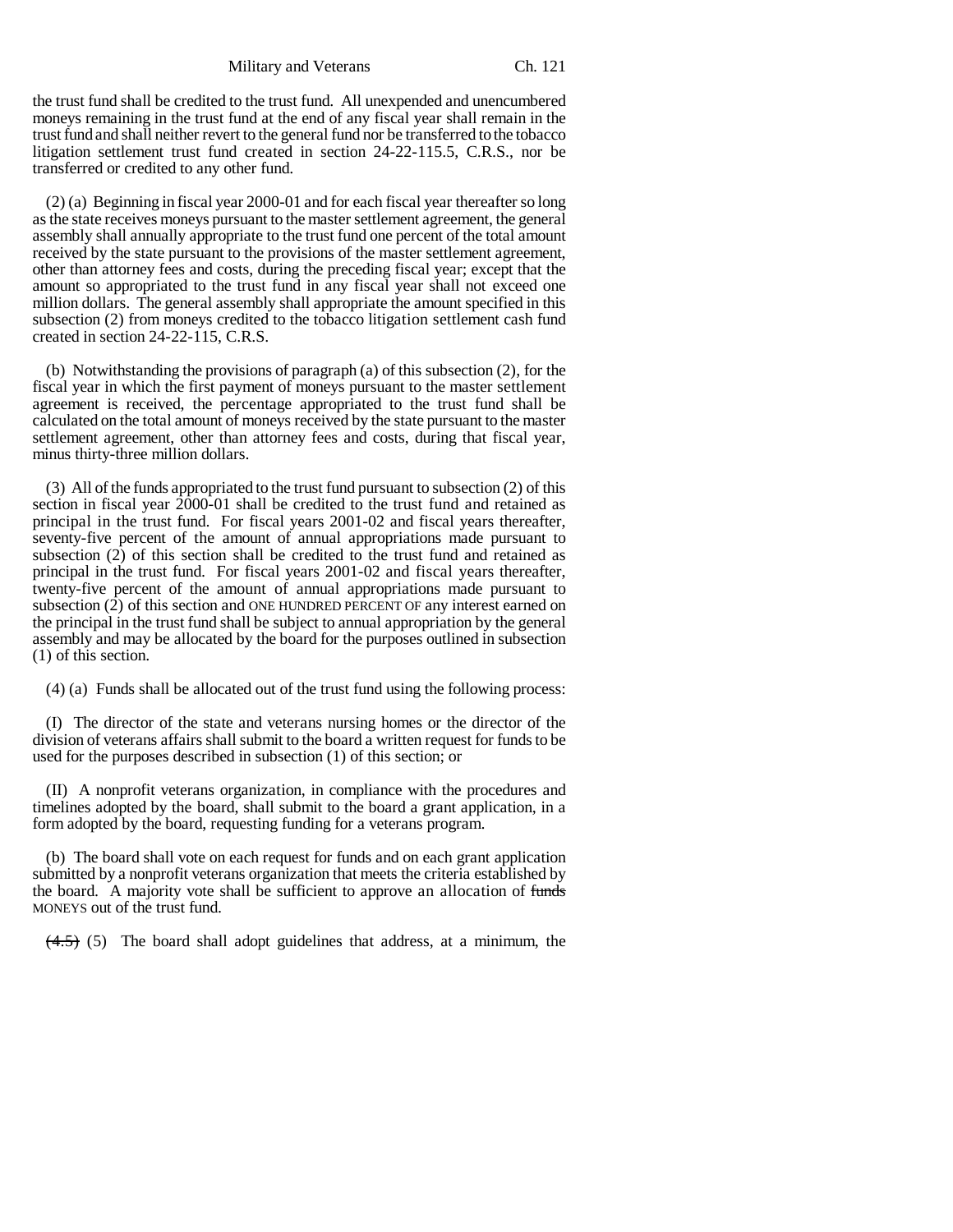Military and Veterans Ch. 121

the trust fund shall be credited to the trust fund. All unexpended and unencumbered moneys remaining in the trust fund at the end of any fiscal year shall remain in the trust fund and shall neither revert to the general fund nor be transferred to the tobacco litigation settlement trust fund created in section 24-22-115.5, C.R.S., nor be transferred or credited to any other fund.

(2) (a) Beginning in fiscal year 2000-01 and for each fiscal year thereafter so long as the state receives moneys pursuant to the master settlement agreement, the general assembly shall annually appropriate to the trust fund one percent of the total amount received by the state pursuant to the provisions of the master settlement agreement, other than attorney fees and costs, during the preceding fiscal year; except that the amount so appropriated to the trust fund in any fiscal year shall not exceed one million dollars. The general assembly shall appropriate the amount specified in this subsection (2) from moneys credited to the tobacco litigation settlement cash fund created in section 24-22-115, C.R.S.

(b) Notwithstanding the provisions of paragraph (a) of this subsection (2), for the fiscal year in which the first payment of moneys pursuant to the master settlement agreement is received, the percentage appropriated to the trust fund shall be calculated on the total amount of moneys received by the state pursuant to the master settlement agreement, other than attorney fees and costs, during that fiscal year, minus thirty-three million dollars.

(3) All of the funds appropriated to the trust fund pursuant to subsection (2) of this section in fiscal year 2000-01 shall be credited to the trust fund and retained as principal in the trust fund. For fiscal years 2001-02 and fiscal years thereafter, seventy-five percent of the amount of annual appropriations made pursuant to subsection  $(2)$  of this section shall be credited to the trust fund and retained as principal in the trust fund. For fiscal years 2001-02 and fiscal years thereafter, twenty-five percent of the amount of annual appropriations made pursuant to subsection (2) of this section and ONE HUNDRED PERCENT OF any interest earned on the principal in the trust fund shall be subject to annual appropriation by the general assembly and may be allocated by the board for the purposes outlined in subsection (1) of this section.

(4) (a) Funds shall be allocated out of the trust fund using the following process:

(I) The director of the state and veterans nursing homes or the director of the division of veterans affairs shall submit to the board a written request for funds to be used for the purposes described in subsection (1) of this section; or

(II) A nonprofit veterans organization, in compliance with the procedures and timelines adopted by the board, shall submit to the board a grant application, in a form adopted by the board, requesting funding for a veterans program.

(b) The board shall vote on each request for funds and on each grant application submitted by a nonprofit veterans organization that meets the criteria established by the board. A majority vote shall be sufficient to approve an allocation of funds MONEYS out of the trust fund.

 $(4.5)$  (5) The board shall adopt guidelines that address, at a minimum, the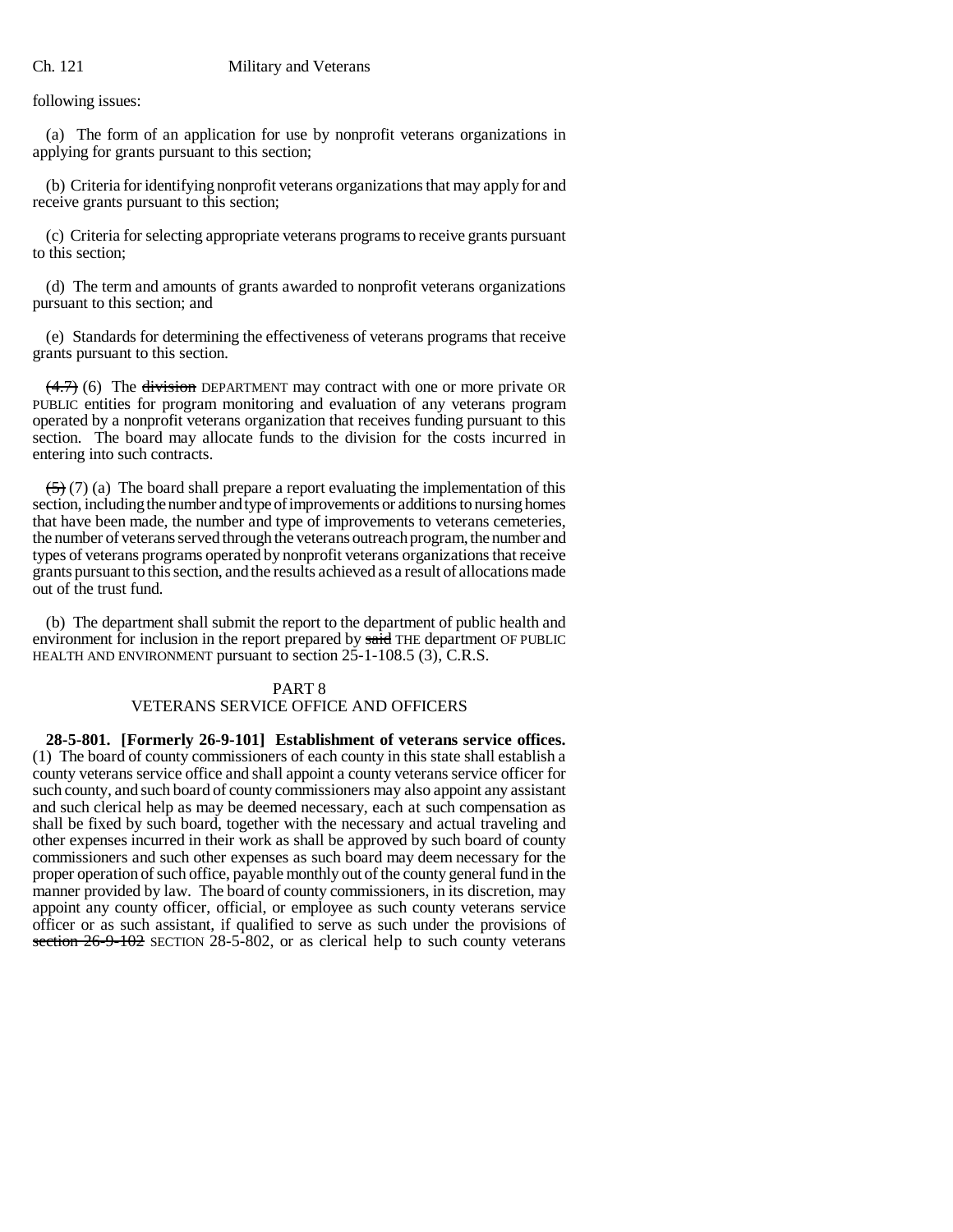following issues:

(a) The form of an application for use by nonprofit veterans organizations in applying for grants pursuant to this section;

(b) Criteria for identifying nonprofit veterans organizations that may apply for and receive grants pursuant to this section;

(c) Criteria for selecting appropriate veterans programs to receive grants pursuant to this section;

(d) The term and amounts of grants awarded to nonprofit veterans organizations pursuant to this section; and

(e) Standards for determining the effectiveness of veterans programs that receive grants pursuant to this section.

 $(4.7)$  (6) The division DEPARTMENT may contract with one or more private OR PUBLIC entities for program monitoring and evaluation of any veterans program operated by a nonprofit veterans organization that receives funding pursuant to this section. The board may allocate funds to the division for the costs incurred in entering into such contracts.

 $(5)(7)$  (a) The board shall prepare a report evaluating the implementation of this section, including the number and type of improvements or additions to nursing homes that have been made, the number and type of improvements to veterans cemeteries, the number of veterans served through the veterans outreach program, the number and types of veterans programs operated by nonprofit veterans organizations that receive grants pursuant to this section, and the results achieved as a result of allocations made out of the trust fund.

(b) The department shall submit the report to the department of public health and environment for inclusion in the report prepared by said THE department OF PUBLIC HEALTH AND ENVIRONMENT pursuant to section 25-1-108.5 (3), C.R.S.

# PART 8 VETERANS SERVICE OFFICE AND OFFICERS

**28-5-801. [Formerly 26-9-101] Establishment of veterans service offices.** (1) The board of county commissioners of each county in this state shall establish a county veterans service office and shall appoint a county veterans service officer for such county, and such board of county commissioners may also appoint any assistant and such clerical help as may be deemed necessary, each at such compensation as shall be fixed by such board, together with the necessary and actual traveling and other expenses incurred in their work as shall be approved by such board of county commissioners and such other expenses as such board may deem necessary for the proper operation of such office, payable monthly out of the county general fund in the manner provided by law. The board of county commissioners, in its discretion, may appoint any county officer, official, or employee as such county veterans service officer or as such assistant, if qualified to serve as such under the provisions of section  $26-9-102$  SECTION 28-5-802, or as clerical help to such county veterans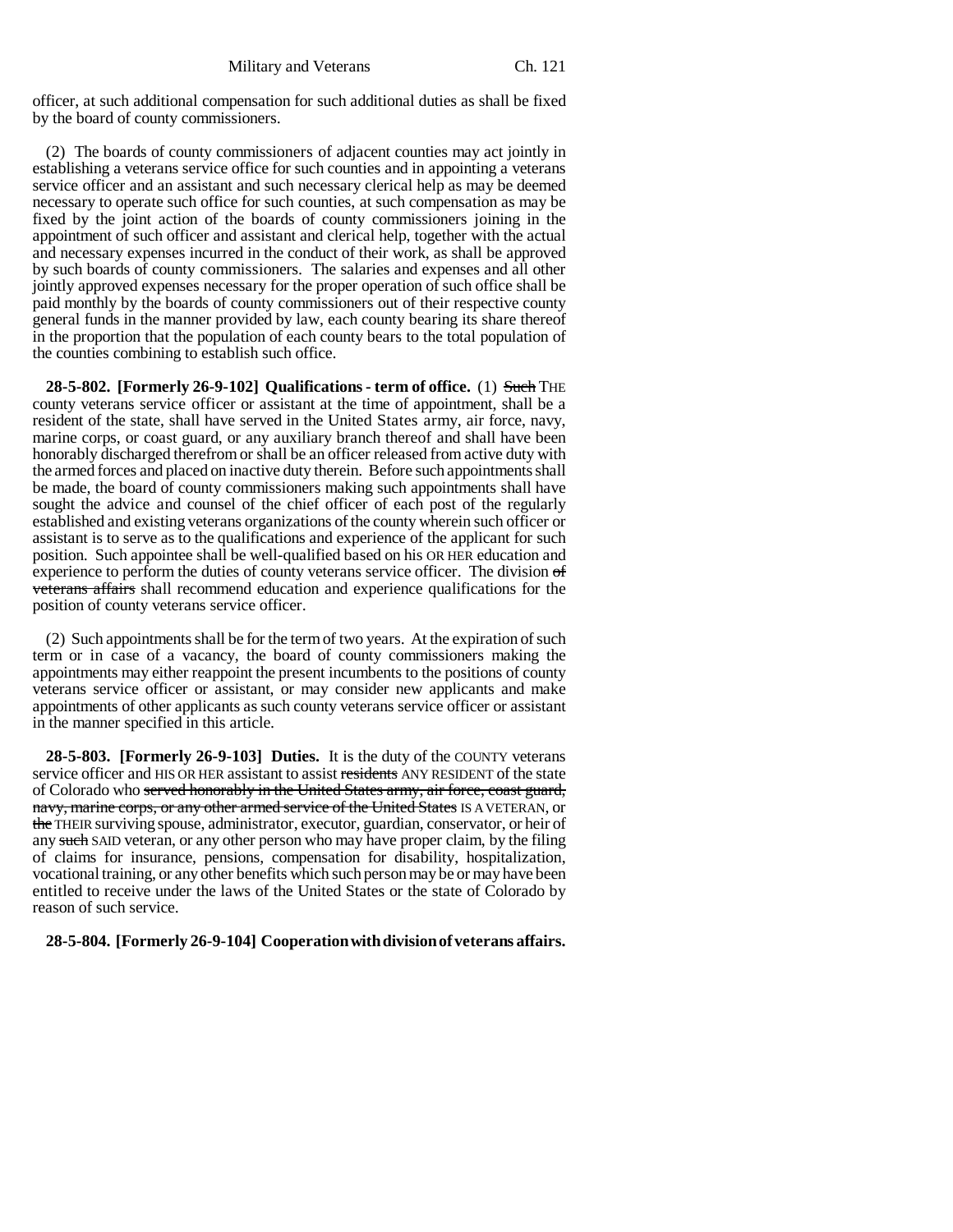officer, at such additional compensation for such additional duties as shall be fixed by the board of county commissioners.

(2) The boards of county commissioners of adjacent counties may act jointly in establishing a veterans service office for such counties and in appointing a veterans service officer and an assistant and such necessary clerical help as may be deemed necessary to operate such office for such counties, at such compensation as may be fixed by the joint action of the boards of county commissioners joining in the appointment of such officer and assistant and clerical help, together with the actual and necessary expenses incurred in the conduct of their work, as shall be approved by such boards of county commissioners. The salaries and expenses and all other jointly approved expenses necessary for the proper operation of such office shall be paid monthly by the boards of county commissioners out of their respective county general funds in the manner provided by law, each county bearing its share thereof in the proportion that the population of each county bears to the total population of the counties combining to establish such office.

**28-5-802. [Formerly 26-9-102] Qualifications - term of office.** (1) Such THE county veterans service officer or assistant at the time of appointment, shall be a resident of the state, shall have served in the United States army, air force, navy, marine corps, or coast guard, or any auxiliary branch thereof and shall have been honorably discharged therefrom or shall be an officer released from active duty with the armed forces and placed on inactive duty therein. Before such appointments shall be made, the board of county commissioners making such appointments shall have sought the advice and counsel of the chief officer of each post of the regularly established and existing veterans organizations of the county wherein such officer or assistant is to serve as to the qualifications and experience of the applicant for such position. Such appointee shall be well-qualified based on his OR HER education and experience to perform the duties of county veterans service officer. The division  $\sigma f$ veterans affairs shall recommend education and experience qualifications for the position of county veterans service officer.

(2) Such appointments shall be for the term of two years. At the expiration of such term or in case of a vacancy, the board of county commissioners making the appointments may either reappoint the present incumbents to the positions of county veterans service officer or assistant, or may consider new applicants and make appointments of other applicants as such county veterans service officer or assistant in the manner specified in this article.

**28-5-803. [Formerly 26-9-103] Duties.** It is the duty of the COUNTY veterans service officer and HIS OR HER assistant to assist residents ANY RESIDENT of the state of Colorado who served honorably in the United States army, air force, coast guard, navy, marine corps, or any other armed service of the United States IS A VETERAN, or the THEIR surviving spouse, administrator, executor, guardian, conservator, or heir of any such SAID veteran, or any other person who may have proper claim, by the filing of claims for insurance, pensions, compensation for disability, hospitalization, vocational training, or any other benefits which such person may be or may have been entitled to receive under the laws of the United States or the state of Colorado by reason of such service.

# **28-5-804. [Formerly 26-9-104] Cooperation with division of veterans affairs.**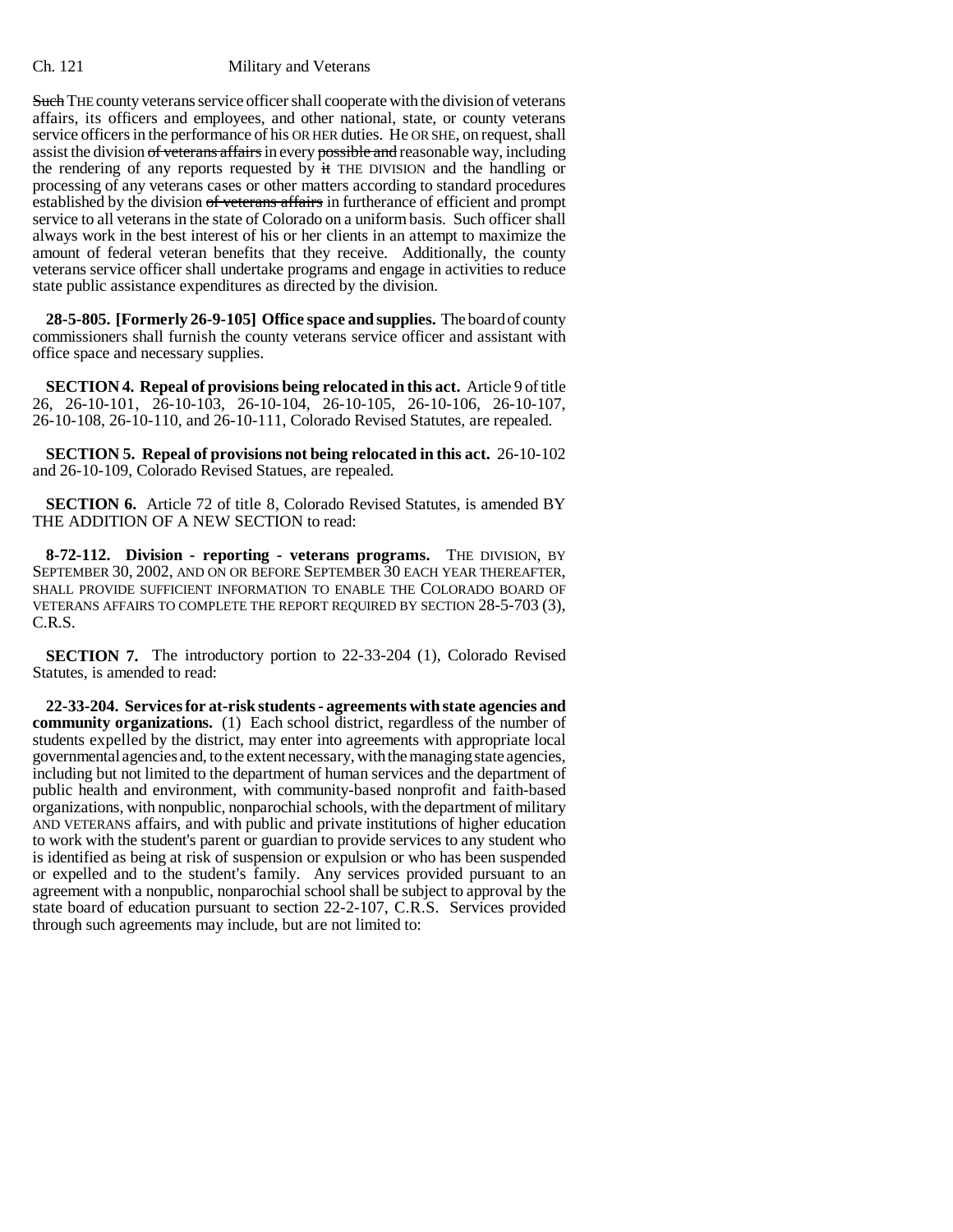**Such** THE county veterans service officer shall cooperate with the division of veterans affairs, its officers and employees, and other national, state, or county veterans service officers in the performance of his OR HER duties. He OR SHE, on request, shall assist the division of veterans affairs in every possible and reasonable way, including the rendering of any reports requested by it THE DIVISION and the handling or processing of any veterans cases or other matters according to standard procedures established by the division of veterans affairs in furtherance of efficient and prompt service to all veterans in the state of Colorado on a uniform basis. Such officer shall always work in the best interest of his or her clients in an attempt to maximize the amount of federal veteran benefits that they receive. Additionally, the county veterans service officer shall undertake programs and engage in activities to reduce state public assistance expenditures as directed by the division.

**28-5-805. [Formerly 26-9-105] Office space and supplies.** The board of county commissioners shall furnish the county veterans service officer and assistant with office space and necessary supplies.

**SECTION 4. Repeal of provisions being relocated in this act.** Article 9 of title 26, 26-10-101, 26-10-103, 26-10-104, 26-10-105, 26-10-106, 26-10-107, 26-10-108, 26-10-110, and 26-10-111, Colorado Revised Statutes, are repealed.

**SECTION 5. Repeal of provisions not being relocated in this act.** 26-10-102 and 26-10-109, Colorado Revised Statues, are repealed.

**SECTION 6.** Article 72 of title 8, Colorado Revised Statutes, is amended BY THE ADDITION OF A NEW SECTION to read:

**8-72-112. Division - reporting - veterans programs.** THE DIVISION, BY SEPTEMBER 30, 2002, AND ON OR BEFORE SEPTEMBER 30 EACH YEAR THEREAFTER, SHALL PROVIDE SUFFICIENT INFORMATION TO ENABLE THE COLORADO BOARD OF VETERANS AFFAIRS TO COMPLETE THE REPORT REQUIRED BY SECTION 28-5-703 (3), C.R.S.

**SECTION 7.** The introductory portion to 22-33-204 (1), Colorado Revised Statutes, is amended to read:

**22-33-204. Services for at-risk students - agreements with state agencies and community organizations.** (1) Each school district, regardless of the number of students expelled by the district, may enter into agreements with appropriate local governmental agencies and, to the extent necessary, with the managing state agencies, including but not limited to the department of human services and the department of public health and environment, with community-based nonprofit and faith-based organizations, with nonpublic, nonparochial schools, with the department of military AND VETERANS affairs, and with public and private institutions of higher education to work with the student's parent or guardian to provide services to any student who is identified as being at risk of suspension or expulsion or who has been suspended or expelled and to the student's family. Any services provided pursuant to an agreement with a nonpublic, nonparochial school shall be subject to approval by the state board of education pursuant to section 22-2-107, C.R.S. Services provided through such agreements may include, but are not limited to: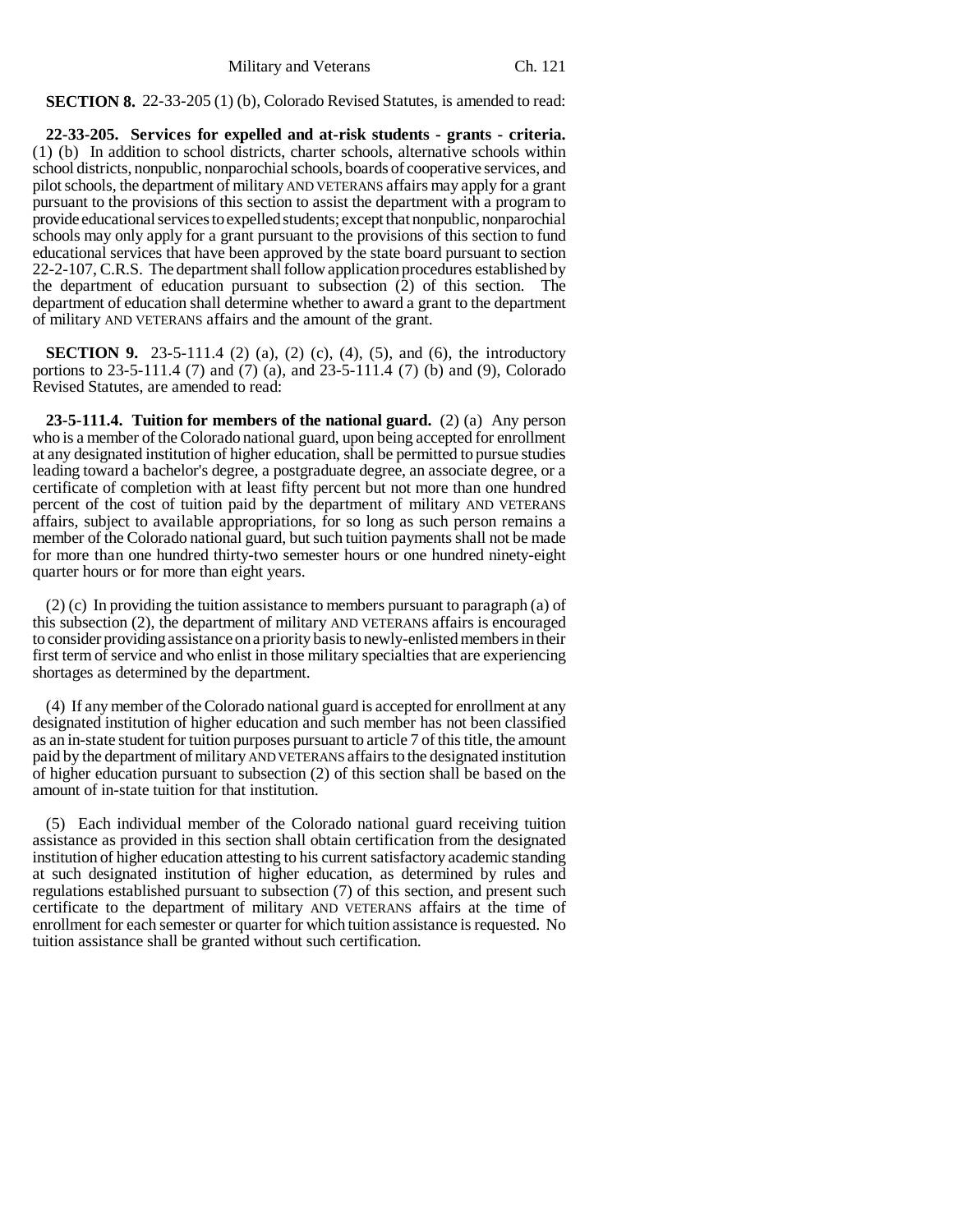**SECTION 8.** 22-33-205 (1) (b), Colorado Revised Statutes, is amended to read:

**22-33-205. Services for expelled and at-risk students - grants - criteria.** (1) (b) In addition to school districts, charter schools, alternative schools within school districts, nonpublic, nonparochial schools, boards of cooperative services, and pilot schools, the department of military AND VETERANS affairs may apply for a grant pursuant to the provisions of this section to assist the department with a program to provide educational services to expelled students; except that nonpublic, nonparochial schools may only apply for a grant pursuant to the provisions of this section to fund educational services that have been approved by the state board pursuant to section 22-2-107, C.R.S. The department shall follow application procedures established by the department of education pursuant to subsection (2) of this section. The department of education shall determine whether to award a grant to the department of military AND VETERANS affairs and the amount of the grant.

**SECTION 9.** 23-5-111.4 (2) (a), (2) (c), (4), (5), and (6), the introductory portions to 23-5-111.4 (7) and (7) (a), and 23-5-111.4 (7) (b) and (9), Colorado Revised Statutes, are amended to read:

**23-5-111.4. Tuition for members of the national guard.** (2) (a) Any person who is a member of the Colorado national guard, upon being accepted for enrollment at any designated institution of higher education, shall be permitted to pursue studies leading toward a bachelor's degree, a postgraduate degree, an associate degree, or a certificate of completion with at least fifty percent but not more than one hundred percent of the cost of tuition paid by the department of military AND VETERANS affairs, subject to available appropriations, for so long as such person remains a member of the Colorado national guard, but such tuition payments shall not be made for more than one hundred thirty-two semester hours or one hundred ninety-eight quarter hours or for more than eight years.

(2) (c) In providing the tuition assistance to members pursuant to paragraph (a) of this subsection (2), the department of military AND VETERANS affairs is encouraged to consider providing assistance on a priority basis to newly-enlisted members in their first term of service and who enlist in those military specialties that are experiencing shortages as determined by the department.

(4) If any member of the Colorado national guard is accepted for enrollment at any designated institution of higher education and such member has not been classified as an in-state student for tuition purposes pursuant to article 7 of this title, the amount paid by the department of military AND VETERANS affairs to the designated institution of higher education pursuant to subsection (2) of this section shall be based on the amount of in-state tuition for that institution.

(5) Each individual member of the Colorado national guard receiving tuition assistance as provided in this section shall obtain certification from the designated institution of higher education attesting to his current satisfactory academic standing at such designated institution of higher education, as determined by rules and regulations established pursuant to subsection (7) of this section, and present such certificate to the department of military AND VETERANS affairs at the time of enrollment for each semester or quarter for which tuition assistance is requested. No tuition assistance shall be granted without such certification.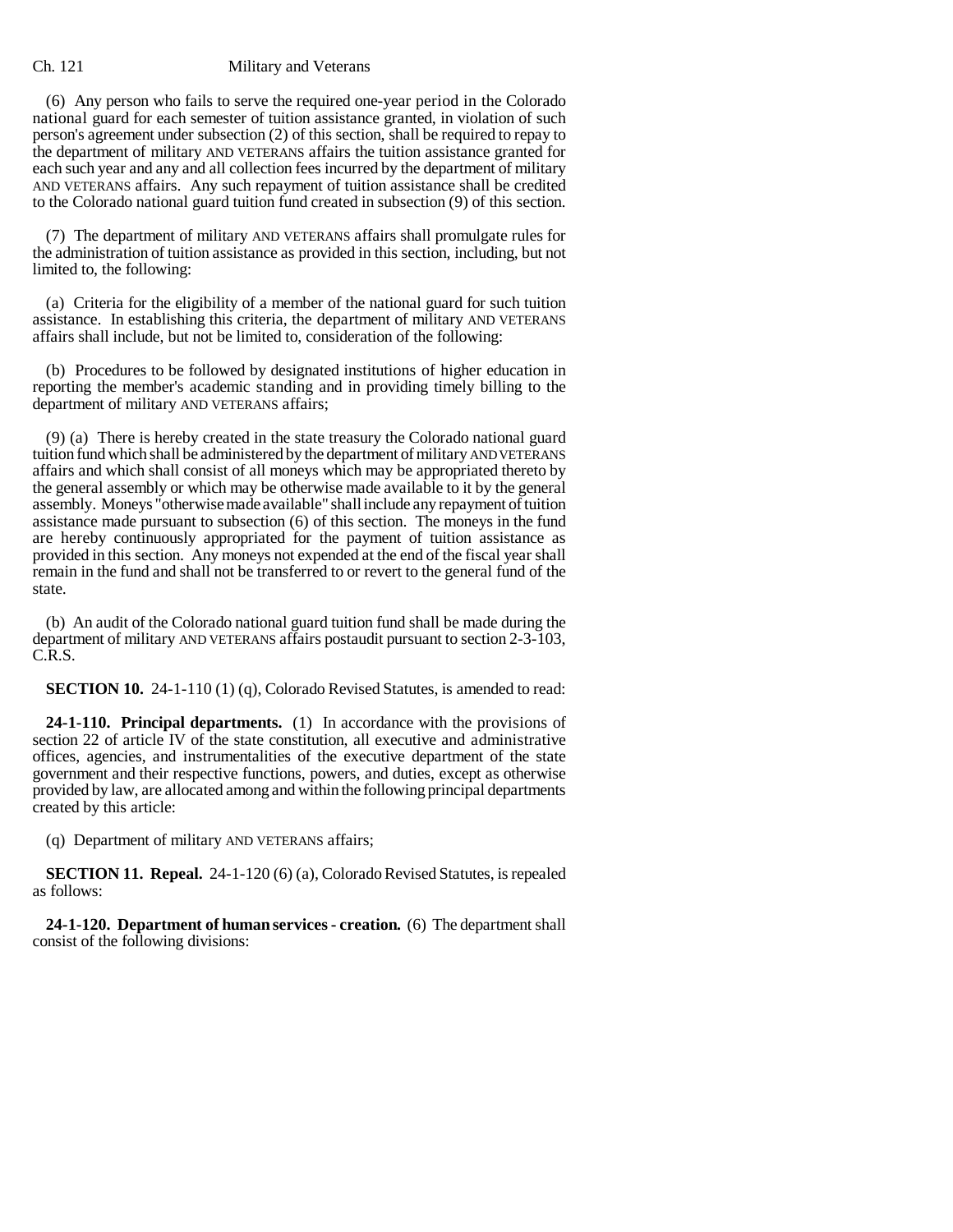(6) Any person who fails to serve the required one-year period in the Colorado national guard for each semester of tuition assistance granted, in violation of such person's agreement under subsection (2) of this section, shall be required to repay to the department of military AND VETERANS affairs the tuition assistance granted for each such year and any and all collection fees incurred by the department of military AND VETERANS affairs. Any such repayment of tuition assistance shall be credited to the Colorado national guard tuition fund created in subsection (9) of this section.

(7) The department of military AND VETERANS affairs shall promulgate rules for the administration of tuition assistance as provided in this section, including, but not limited to, the following:

(a) Criteria for the eligibility of a member of the national guard for such tuition assistance. In establishing this criteria, the department of military AND VETERANS affairs shall include, but not be limited to, consideration of the following:

(b) Procedures to be followed by designated institutions of higher education in reporting the member's academic standing and in providing timely billing to the department of military AND VETERANS affairs;

(9) (a) There is hereby created in the state treasury the Colorado national guard tuition fund which shall be administered by the department of military AND VETERANS affairs and which shall consist of all moneys which may be appropriated thereto by the general assembly or which may be otherwise made available to it by the general assembly. Moneys "otherwise made available" shall include any repayment of tuition assistance made pursuant to subsection (6) of this section. The moneys in the fund are hereby continuously appropriated for the payment of tuition assistance as provided in this section. Any moneys not expended at the end of the fiscal year shall remain in the fund and shall not be transferred to or revert to the general fund of the state.

(b) An audit of the Colorado national guard tuition fund shall be made during the department of military AND VETERANS affairs postaudit pursuant to section 2-3-103, C.R.S.

**SECTION 10.** 24-1-110 (1) (q), Colorado Revised Statutes, is amended to read:

**24-1-110. Principal departments.** (1) In accordance with the provisions of section 22 of article IV of the state constitution, all executive and administrative offices, agencies, and instrumentalities of the executive department of the state government and their respective functions, powers, and duties, except as otherwise provided by law, are allocated among and within the following principal departments created by this article:

(q) Department of military AND VETERANS affairs;

**SECTION 11. Repeal.** 24-1-120 (6) (a), Colorado Revised Statutes, is repealed as follows:

**24-1-120. Department of human services - creation.** (6) The department shall consist of the following divisions: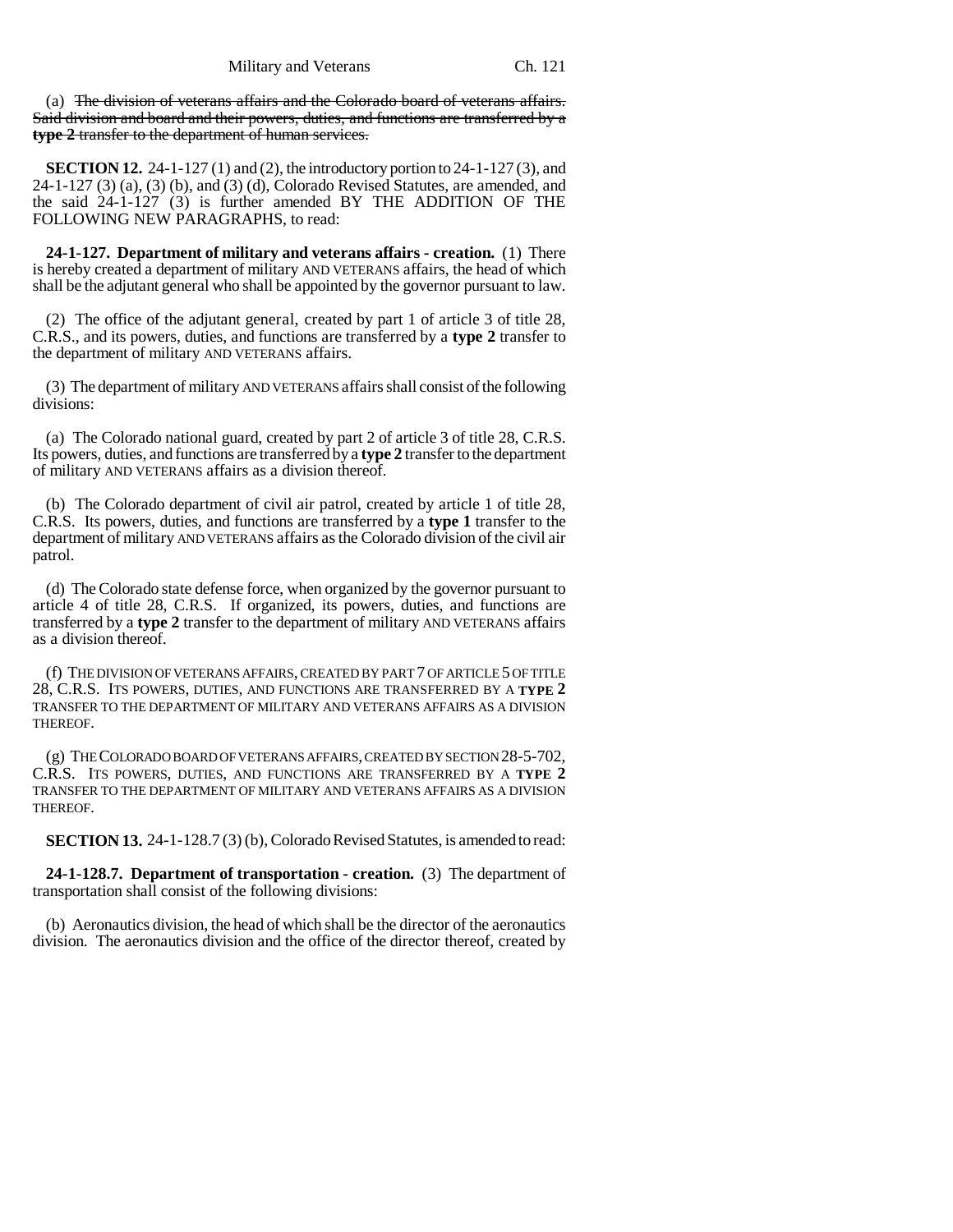(a) The division of veterans affairs and the Colorado board of veterans affairs. Said division and board and their powers, duties, and functions are transferred by a **type 2** transfer to the department of human services.

**SECTION 12.** 24-1-127 (1) and (2), the introductory portion to 24-1-127 (3), and 24-1-127 (3) (a), (3) (b), and (3) (d), Colorado Revised Statutes, are amended, and the said 24-1-127 (3) is further amended BY THE ADDITION OF THE FOLLOWING NEW PARAGRAPHS, to read:

**24-1-127. Department of military and veterans affairs - creation.** (1) There is hereby created a department of military AND VETERANS affairs, the head of which shall be the adjutant general who shall be appointed by the governor pursuant to law.

(2) The office of the adjutant general, created by part 1 of article 3 of title 28, C.R.S., and its powers, duties, and functions are transferred by a **type 2** transfer to the department of military AND VETERANS affairs.

(3) The department of military AND VETERANS affairs shall consist of the following divisions:

(a) The Colorado national guard, created by part 2 of article 3 of title 28, C.R.S. Its powers, duties, and functions are transferred by a **type 2** transfer to the department of military AND VETERANS affairs as a division thereof.

(b) The Colorado department of civil air patrol, created by article 1 of title 28, C.R.S. Its powers, duties, and functions are transferred by a **type 1** transfer to the department of military AND VETERANS affairs as the Colorado division of the civil air patrol.

(d) The Colorado state defense force, when organized by the governor pursuant to article 4 of title 28, C.R.S. If organized, its powers, duties, and functions are transferred by a **type 2** transfer to the department of military AND VETERANS affairs as a division thereof.

(f) THE DIVISION OF VETERANS AFFAIRS, CREATED BY PART 7 OF ARTICLE 5 OF TITLE 28, C.R.S. ITS POWERS, DUTIES, AND FUNCTIONS ARE TRANSFERRED BY A **TYPE 2** TRANSFER TO THE DEPARTMENT OF MILITARY AND VETERANS AFFAIRS AS A DIVISION THEREOF.

(g) THE COLORADO BOARD OF VETERANS AFFAIRS, CREATED BY SECTION 28-5-702, C.R.S. ITS POWERS, DUTIES, AND FUNCTIONS ARE TRANSFERRED BY A **TYPE 2** TRANSFER TO THE DEPARTMENT OF MILITARY AND VETERANS AFFAIRS AS A DIVISION THEREOF.

**SECTION 13.** 24-1-128.7 (3) (b), Colorado Revised Statutes, is amended to read:

**24-1-128.7. Department of transportation - creation.** (3) The department of transportation shall consist of the following divisions:

(b) Aeronautics division, the head of which shall be the director of the aeronautics division. The aeronautics division and the office of the director thereof, created by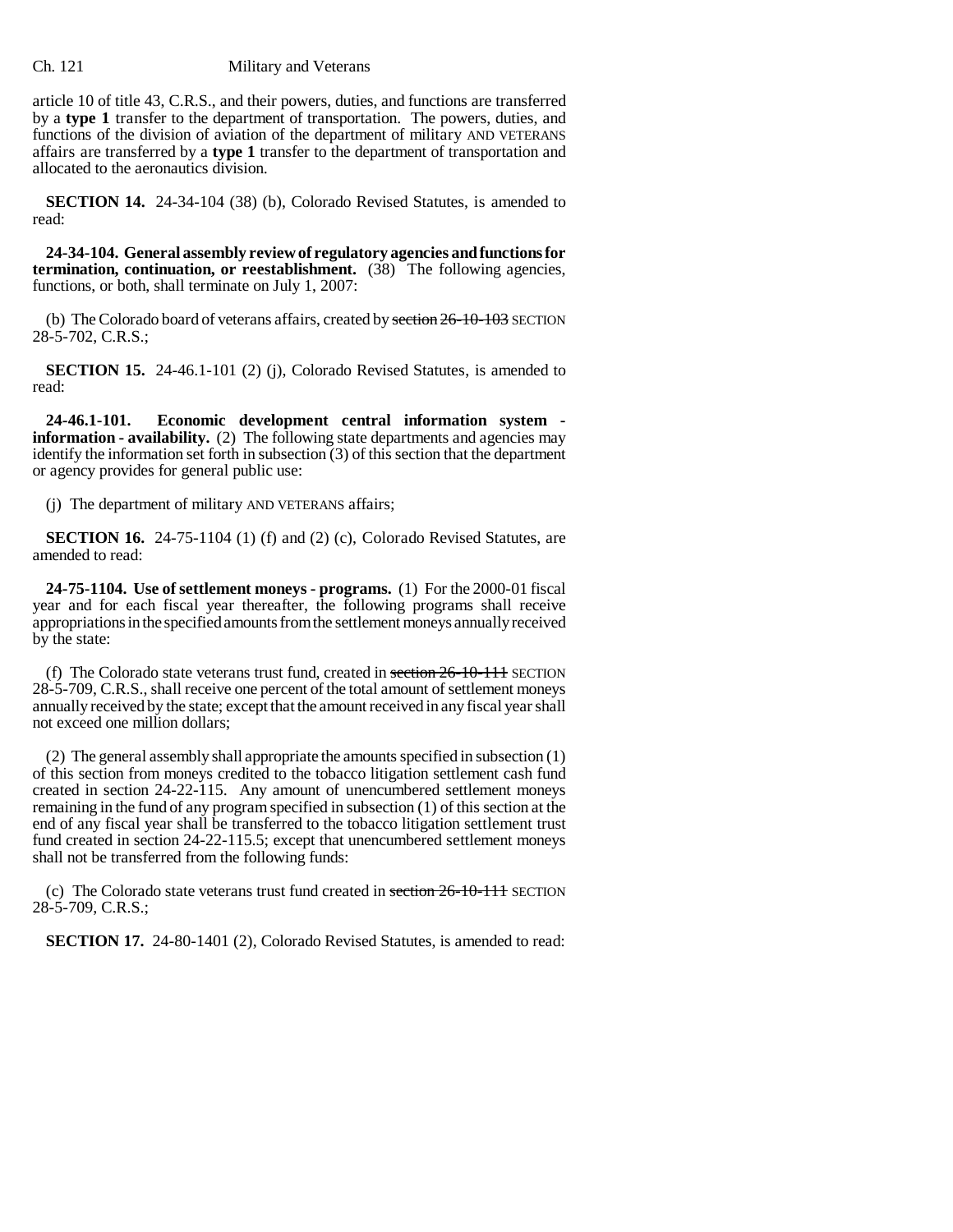article 10 of title 43, C.R.S., and their powers, duties, and functions are transferred by a **type 1** transfer to the department of transportation. The powers, duties, and functions of the division of aviation of the department of military AND VETERANS affairs are transferred by a **type 1** transfer to the department of transportation and allocated to the aeronautics division.

**SECTION 14.** 24-34-104 (38) (b), Colorado Revised Statutes, is amended to read:

**24-34-104. General assembly review of regulatory agencies and functions for termination, continuation, or reestablishment.** (38) The following agencies, functions, or both, shall terminate on July 1, 2007:

(b) The Colorado board of veterans affairs, created by section  $26-10-103$  SECTION 28-5-702, C.R.S.;

**SECTION 15.** 24-46.1-101 (2) (j), Colorado Revised Statutes, is amended to read:

**24-46.1-101. Economic development central information system information - availability.** (2) The following state departments and agencies may identify the information set forth in subsection (3) of this section that the department or agency provides for general public use:

(j) The department of military AND VETERANS affairs;

**SECTION 16.** 24-75-1104 (1) (f) and (2) (c), Colorado Revised Statutes, are amended to read:

**24-75-1104. Use of settlement moneys - programs.** (1) For the 2000-01 fiscal year and for each fiscal year thereafter, the following programs shall receive appropriations in the specified amounts from the settlement moneys annually received by the state:

(f) The Colorado state veterans trust fund, created in section  $26-10-111$  SECTION 28-5-709, C.R.S., shall receive one percent of the total amount of settlement moneys annually received by the state; except that the amount received in any fiscal year shall not exceed one million dollars;

(2) The general assembly shall appropriate the amounts specified in subsection (1) of this section from moneys credited to the tobacco litigation settlement cash fund created in section 24-22-115. Any amount of unencumbered settlement moneys remaining in the fund of any program specified in subsection (1) of this section at the end of any fiscal year shall be transferred to the tobacco litigation settlement trust fund created in section 24-22-115.5; except that unencumbered settlement moneys shall not be transferred from the following funds:

(c) The Colorado state veterans trust fund created in section  $26-10-111$  SECTION 28-5-709, C.R.S.;

**SECTION 17.** 24-80-1401 (2), Colorado Revised Statutes, is amended to read: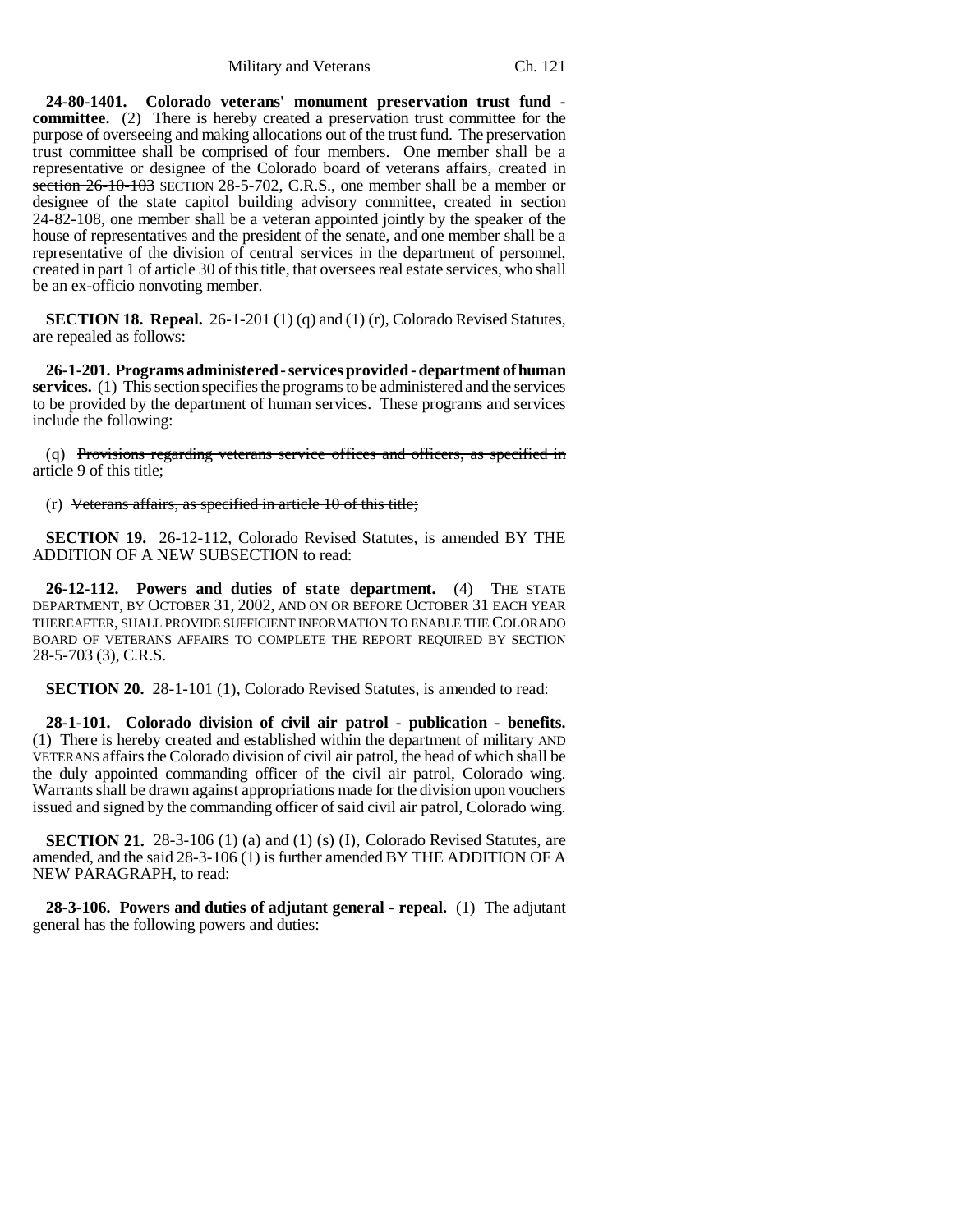Military and Veterans Ch. 121

**24-80-1401. Colorado veterans' monument preservation trust fund committee.** (2) There is hereby created a preservation trust committee for the purpose of overseeing and making allocations out of the trust fund. The preservation trust committee shall be comprised of four members. One member shall be a representative or designee of the Colorado board of veterans affairs, created in section 26-10-103 SECTION 28-5-702, C.R.S., one member shall be a member or designee of the state capitol building advisory committee, created in section 24-82-108, one member shall be a veteran appointed jointly by the speaker of the house of representatives and the president of the senate, and one member shall be a representative of the division of central services in the department of personnel, created in part 1 of article 30 of this title, that oversees real estate services, who shall be an ex-officio nonvoting member.

**SECTION 18. Repeal.** 26-1-201 (1) (q) and (1) (r), Colorado Revised Statutes, are repealed as follows:

**26-1-201. Programs administered - services provided - department of human services.** (1) This section specifies the programs to be administered and the services to be provided by the department of human services. These programs and services include the following:

(q) Provisions regarding veterans service offices and officers, as specified in article 9 of this title;

(r) Veterans affairs, as specified in article 10 of this title;

**SECTION 19.** 26-12-112, Colorado Revised Statutes, is amended BY THE ADDITION OF A NEW SUBSECTION to read:

**26-12-112. Powers and duties of state department.** (4) THE STATE DEPARTMENT, BY OCTOBER 31, 2002, AND ON OR BEFORE OCTOBER 31 EACH YEAR THEREAFTER, SHALL PROVIDE SUFFICIENT INFORMATION TO ENABLE THE COLORADO BOARD OF VETERANS AFFAIRS TO COMPLETE THE REPORT REQUIRED BY SECTION 28-5-703 (3), C.R.S.

**SECTION 20.** 28-1-101 (1), Colorado Revised Statutes, is amended to read:

**28-1-101. Colorado division of civil air patrol - publication - benefits.** (1) There is hereby created and established within the department of military AND VETERANS affairs the Colorado division of civil air patrol, the head of which shall be the duly appointed commanding officer of the civil air patrol, Colorado wing. Warrants shall be drawn against appropriations made for the division upon vouchers issued and signed by the commanding officer of said civil air patrol, Colorado wing.

**SECTION 21.** 28-3-106 (1) (a) and (1) (s) (I), Colorado Revised Statutes, are amended, and the said 28-3-106 (1) is further amended BY THE ADDITION OF A NEW PARAGRAPH, to read:

**28-3-106. Powers and duties of adjutant general - repeal.** (1) The adjutant general has the following powers and duties: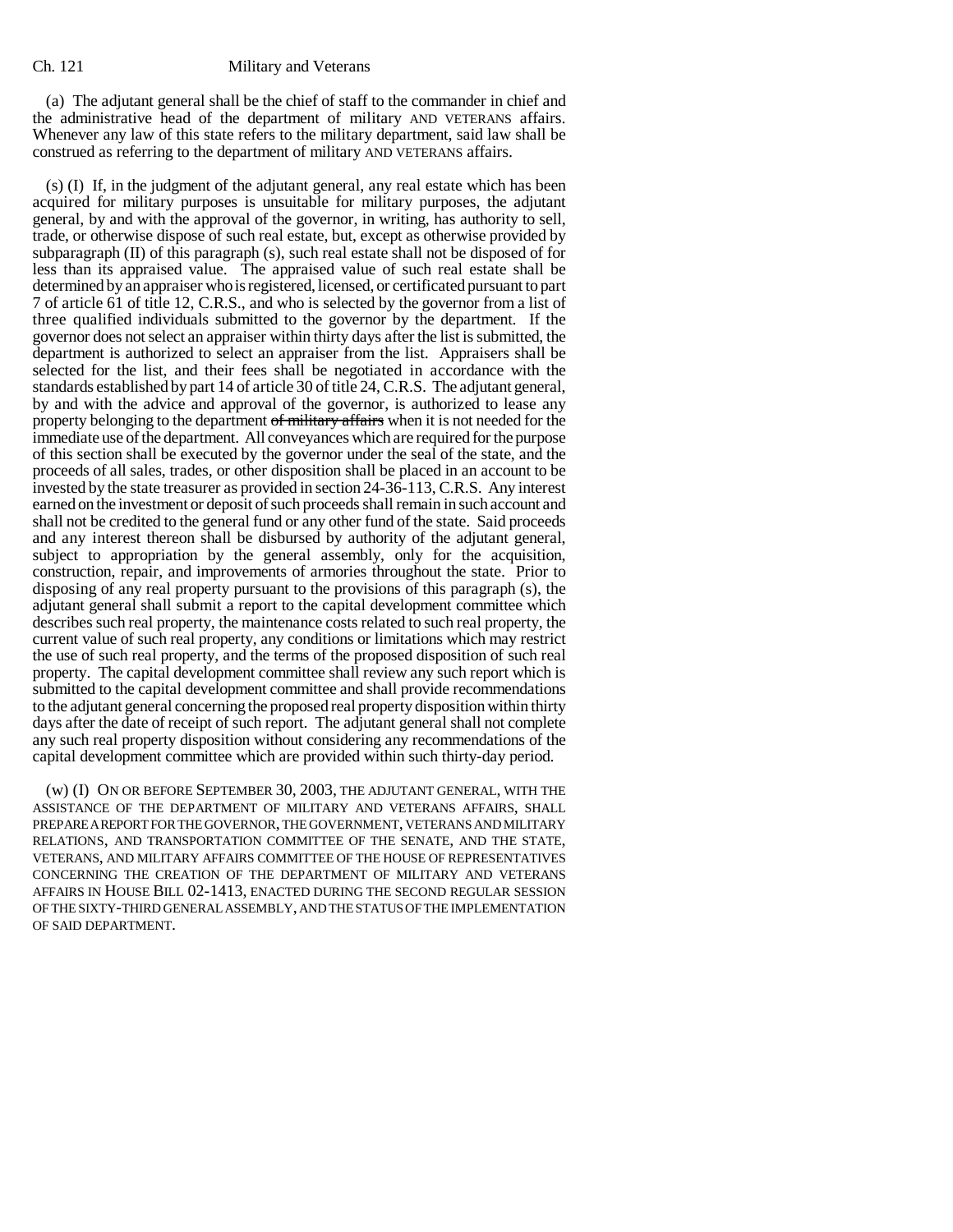(a) The adjutant general shall be the chief of staff to the commander in chief and the administrative head of the department of military AND VETERANS affairs. Whenever any law of this state refers to the military department, said law shall be construed as referring to the department of military AND VETERANS affairs.

(s) (I) If, in the judgment of the adjutant general, any real estate which has been acquired for military purposes is unsuitable for military purposes, the adjutant general, by and with the approval of the governor, in writing, has authority to sell, trade, or otherwise dispose of such real estate, but, except as otherwise provided by subparagraph (II) of this paragraph (s), such real estate shall not be disposed of for less than its appraised value. The appraised value of such real estate shall be determined by an appraiser who is registered, licensed, or certificated pursuant to part 7 of article 61 of title 12, C.R.S., and who is selected by the governor from a list of three qualified individuals submitted to the governor by the department. If the governor does not select an appraiser within thirty days after the list is submitted, the department is authorized to select an appraiser from the list. Appraisers shall be selected for the list, and their fees shall be negotiated in accordance with the standards established by part 14 of article 30 of title 24, C.R.S. The adjutant general, by and with the advice and approval of the governor, is authorized to lease any property belonging to the department of military affairs when it is not needed for the immediate use of the department. All conveyances which are required for the purpose of this section shall be executed by the governor under the seal of the state, and the proceeds of all sales, trades, or other disposition shall be placed in an account to be invested by the state treasurer as provided in section 24-36-113, C.R.S. Any interest earned on the investment or deposit of such proceeds shall remain in such account and shall not be credited to the general fund or any other fund of the state. Said proceeds and any interest thereon shall be disbursed by authority of the adjutant general, subject to appropriation by the general assembly, only for the acquisition, construction, repair, and improvements of armories throughout the state. Prior to disposing of any real property pursuant to the provisions of this paragraph (s), the adjutant general shall submit a report to the capital development committee which describes such real property, the maintenance costs related to such real property, the current value of such real property, any conditions or limitations which may restrict the use of such real property, and the terms of the proposed disposition of such real property. The capital development committee shall review any such report which is submitted to the capital development committee and shall provide recommendations to the adjutant general concerning the proposed real property disposition within thirty days after the date of receipt of such report. The adjutant general shall not complete any such real property disposition without considering any recommendations of the capital development committee which are provided within such thirty-day period.

(w) (I) ON OR BEFORE SEPTEMBER 30, 2003, THE ADJUTANT GENERAL, WITH THE ASSISTANCE OF THE DEPARTMENT OF MILITARY AND VETERANS AFFAIRS, SHALL PREPARE A REPORT FOR THE GOVERNOR, THE GOVERNMENT, VETERANS AND MILITARY RELATIONS, AND TRANSPORTATION COMMITTEE OF THE SENATE, AND THE STATE, VETERANS, AND MILITARY AFFAIRS COMMITTEE OF THE HOUSE OF REPRESENTATIVES CONCERNING THE CREATION OF THE DEPARTMENT OF MILITARY AND VETERANS AFFAIRS IN HOUSE BILL 02-1413, ENACTED DURING THE SECOND REGULAR SESSION OF THE SIXTY-THIRD GENERAL ASSEMBLY, AND THE STATUS OF THE IMPLEMENTATION OF SAID DEPARTMENT.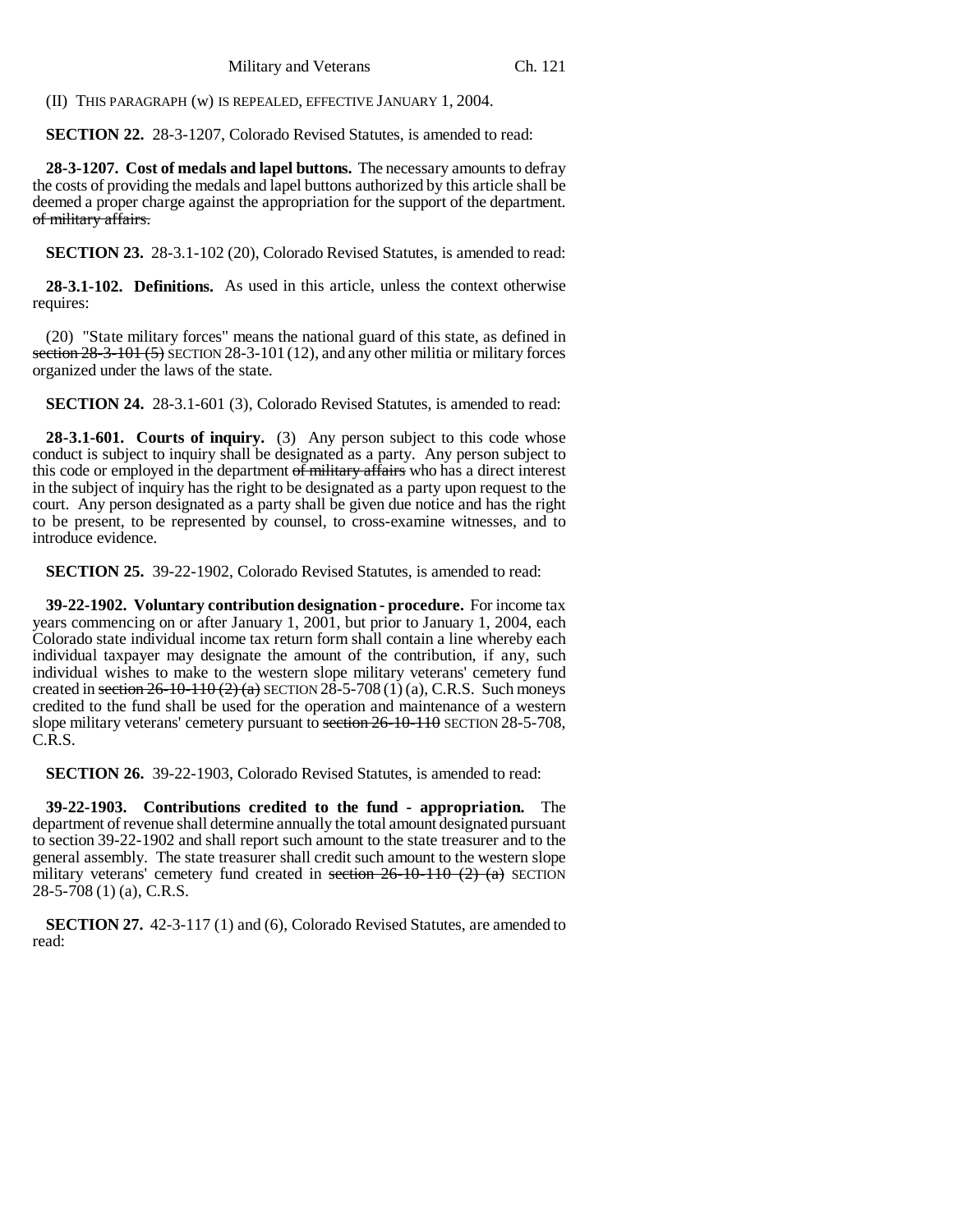(II) THIS PARAGRAPH (w) IS REPEALED, EFFECTIVE JANUARY 1, 2004.

**SECTION 22.** 28-3-1207, Colorado Revised Statutes, is amended to read:

**28-3-1207. Cost of medals and lapel buttons.** The necessary amounts to defray the costs of providing the medals and lapel buttons authorized by this article shall be deemed a proper charge against the appropriation for the support of the department. of military affairs.

**SECTION 23.** 28-3.1-102 (20), Colorado Revised Statutes, is amended to read:

**28-3.1-102. Definitions.** As used in this article, unless the context otherwise requires:

(20) "State military forces" means the national guard of this state, as defined in section  $28-3-101(5)$  SECTION 28-3-101 (12), and any other militia or military forces organized under the laws of the state.

**SECTION 24.** 28-3.1-601 (3), Colorado Revised Statutes, is amended to read:

**28-3.1-601. Courts of inquiry.** (3) Any person subject to this code whose conduct is subject to inquiry shall be designated as a party. Any person subject to this code or employed in the department of military affairs who has a direct interest in the subject of inquiry has the right to be designated as a party upon request to the court. Any person designated as a party shall be given due notice and has the right to be present, to be represented by counsel, to cross-examine witnesses, and to introduce evidence.

**SECTION 25.** 39-22-1902, Colorado Revised Statutes, is amended to read:

**39-22-1902. Voluntary contribution designation - procedure.** For income tax years commencing on or after January 1, 2001, but prior to January 1, 2004, each Colorado state individual income tax return form shall contain a line whereby each individual taxpayer may designate the amount of the contribution, if any, such individual wishes to make to the western slope military veterans' cemetery fund created in section  $26-10-110(2)$  (a) SECTION 28-5-708 (1) (a), C.R.S. Such moneys credited to the fund shall be used for the operation and maintenance of a western slope military veterans' cemetery pursuant to section 26-10-110 SECTION 28-5-708, C.R.S.

**SECTION 26.** 39-22-1903, Colorado Revised Statutes, is amended to read:

**39-22-1903. Contributions credited to the fund - appropriation.** The department of revenue shall determine annually the total amount designated pursuant to section 39-22-1902 and shall report such amount to the state treasurer and to the general assembly. The state treasurer shall credit such amount to the western slope military veterans' cemetery fund created in section  $26-10-110$  (2) (a) SECTION 28-5-708 (1) (a), C.R.S.

**SECTION 27.** 42-3-117 (1) and (6), Colorado Revised Statutes, are amended to read: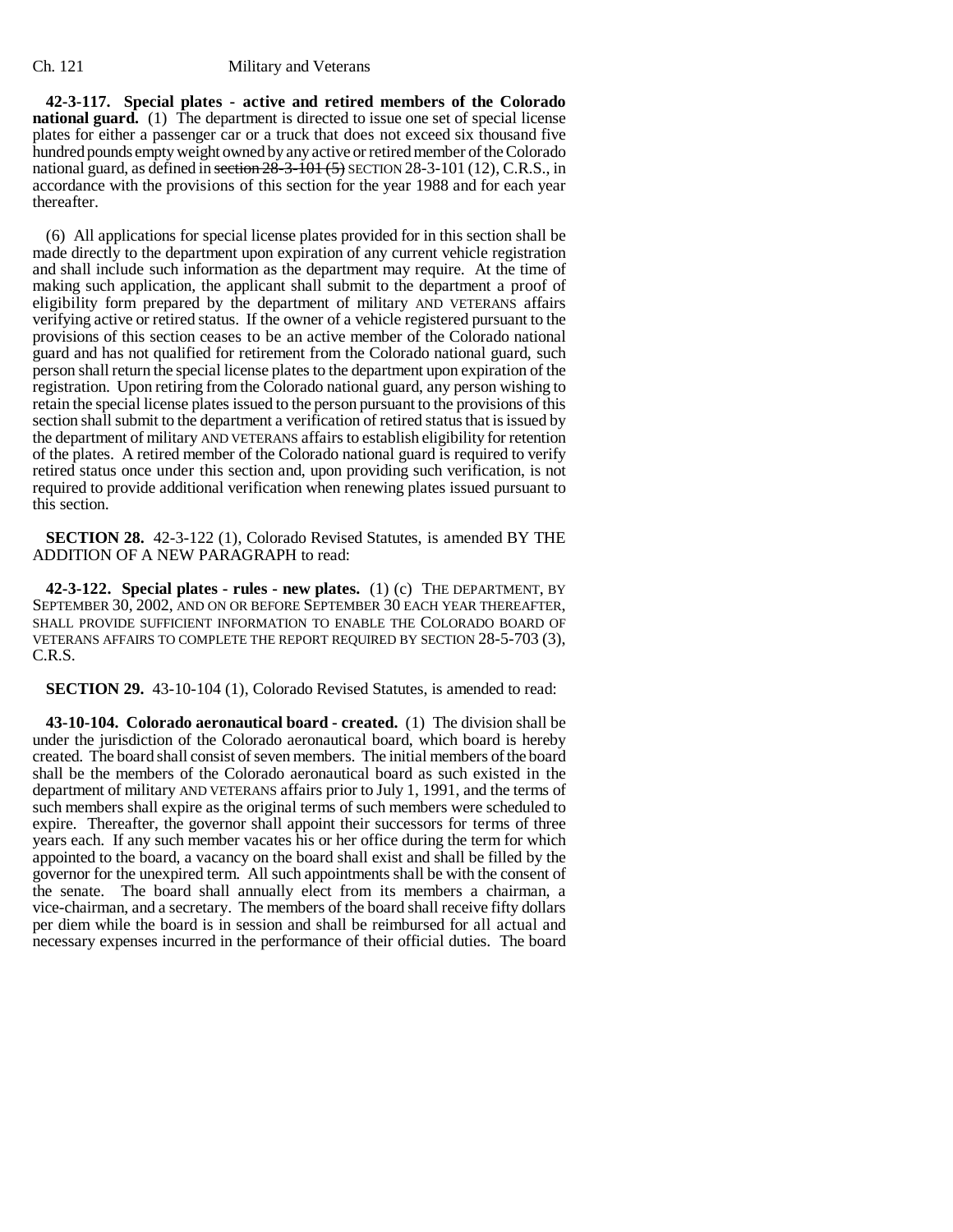**42-3-117. Special plates - active and retired members of the Colorado national guard.** (1) The department is directed to issue one set of special license plates for either a passenger car or a truck that does not exceed six thousand five hundred pounds empty weight owned by any active or retired member of the Colorado national guard, as defined in section  $28-3-101$  (5) SECTION 28-3-101 (12), C.R.S., in accordance with the provisions of this section for the year 1988 and for each year thereafter.

(6) All applications for special license plates provided for in this section shall be made directly to the department upon expiration of any current vehicle registration and shall include such information as the department may require. At the time of making such application, the applicant shall submit to the department a proof of eligibility form prepared by the department of military AND VETERANS affairs verifying active or retired status. If the owner of a vehicle registered pursuant to the provisions of this section ceases to be an active member of the Colorado national guard and has not qualified for retirement from the Colorado national guard, such person shall return the special license plates to the department upon expiration of the registration. Upon retiring from the Colorado national guard, any person wishing to retain the special license plates issued to the person pursuant to the provisions of this section shall submit to the department a verification of retired status that is issued by the department of military AND VETERANS affairs to establish eligibility for retention of the plates. A retired member of the Colorado national guard is required to verify retired status once under this section and, upon providing such verification, is not required to provide additional verification when renewing plates issued pursuant to this section.

**SECTION 28.** 42-3-122 (1), Colorado Revised Statutes, is amended BY THE ADDITION OF A NEW PARAGRAPH to read:

**42-3-122. Special plates - rules - new plates.** (1) (c) THE DEPARTMENT, BY SEPTEMBER 30, 2002, AND ON OR BEFORE SEPTEMBER 30 EACH YEAR THEREAFTER, SHALL PROVIDE SUFFICIENT INFORMATION TO ENABLE THE COLORADO BOARD OF VETERANS AFFAIRS TO COMPLETE THE REPORT REQUIRED BY SECTION 28-5-703 (3), C.R.S.

**SECTION 29.** 43-10-104 (1), Colorado Revised Statutes, is amended to read:

**43-10-104. Colorado aeronautical board - created.** (1) The division shall be under the jurisdiction of the Colorado aeronautical board, which board is hereby created. The board shall consist of seven members. The initial members of the board shall be the members of the Colorado aeronautical board as such existed in the department of military AND VETERANS affairs prior to July 1, 1991, and the terms of such members shall expire as the original terms of such members were scheduled to expire. Thereafter, the governor shall appoint their successors for terms of three years each. If any such member vacates his or her office during the term for which appointed to the board, a vacancy on the board shall exist and shall be filled by the governor for the unexpired term. All such appointments shall be with the consent of the senate. The board shall annually elect from its members a chairman, a vice-chairman, and a secretary. The members of the board shall receive fifty dollars per diem while the board is in session and shall be reimbursed for all actual and necessary expenses incurred in the performance of their official duties. The board